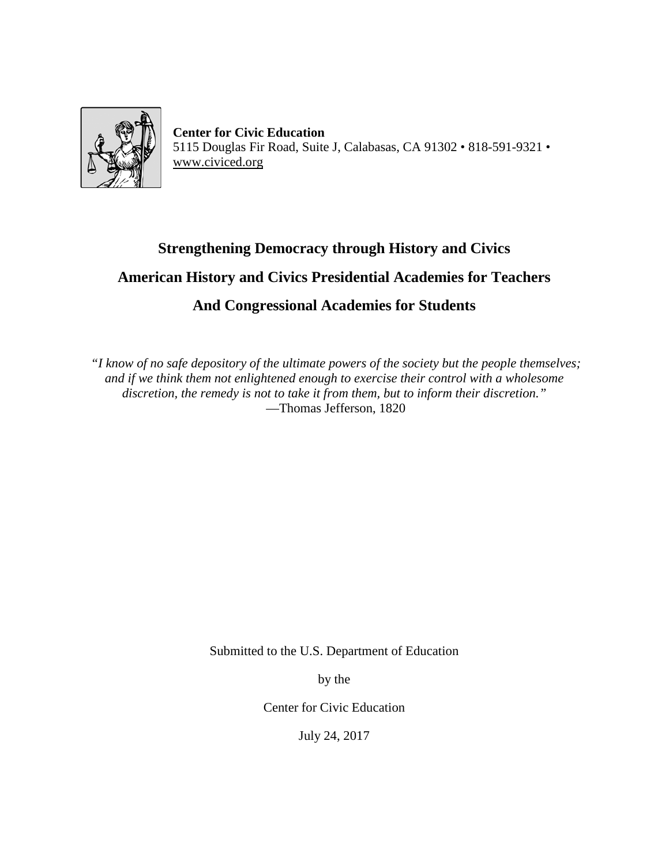

**Center for Civic Education** 5115 Douglas Fir Road, Suite J, Calabasas, CA 91302 • 818-591-9321 • [www.civiced.org](http://www.civiced.org/)

## **Strengthening Democracy through History and Civics American History and Civics Presidential Academies for Teachers And Congressional Academies for Students**

*"I know of no safe depository of the ultimate powers of the society but the people themselves; and if we think them not enlightened enough to exercise their control with a wholesome discretion, the remedy is not to take it from them, but to inform their discretion."* —Thomas Jefferson, 1820

Submitted to the U.S. Department of Education

by the

Center for Civic Education

July 24, 2017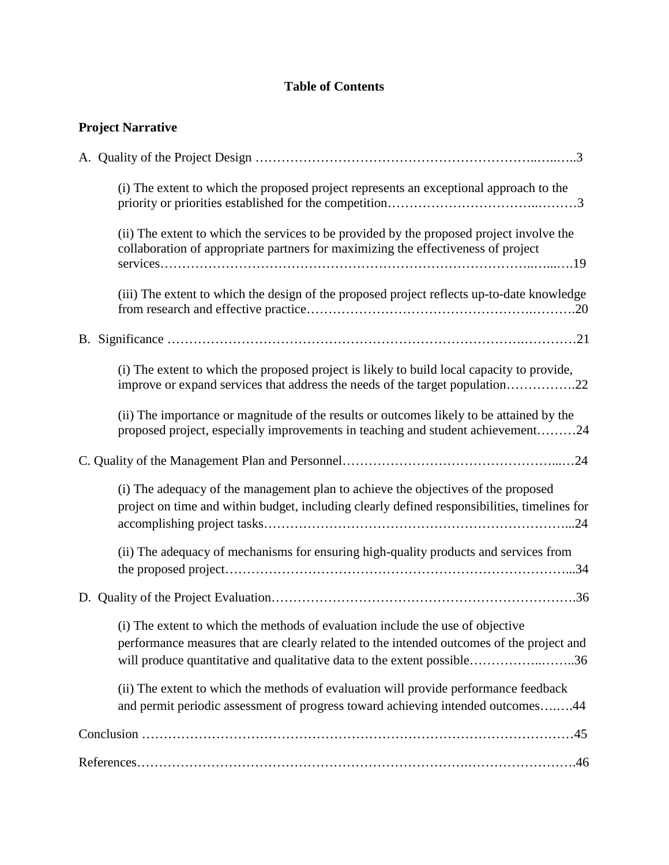## **Table of Contents**

|  | <b>Project Narrative</b> |  |  |
|--|--------------------------|--|--|
|--|--------------------------|--|--|

| (i) The extent to which the proposed project represents an exceptional approach to the                                                                                                                                                                 |
|--------------------------------------------------------------------------------------------------------------------------------------------------------------------------------------------------------------------------------------------------------|
| (ii) The extent to which the services to be provided by the proposed project involve the<br>collaboration of appropriate partners for maximizing the effectiveness of project                                                                          |
| (iii) The extent to which the design of the proposed project reflects up-to-date knowledge                                                                                                                                                             |
|                                                                                                                                                                                                                                                        |
| (i) The extent to which the proposed project is likely to build local capacity to provide,<br>improve or expand services that address the needs of the target population22                                                                             |
| (ii) The importance or magnitude of the results or outcomes likely to be attained by the<br>proposed project, especially improvements in teaching and student achievement24                                                                            |
|                                                                                                                                                                                                                                                        |
| (i) The adequacy of the management plan to achieve the objectives of the proposed<br>project on time and within budget, including clearly defined responsibilities, timelines for                                                                      |
| (ii) The adequacy of mechanisms for ensuring high-quality products and services from                                                                                                                                                                   |
|                                                                                                                                                                                                                                                        |
| (i) The extent to which the methods of evaluation include the use of objective<br>performance measures that are clearly related to the intended outcomes of the project and<br>will produce quantitative and qualitative data to the extent possible36 |
| (ii) The extent to which the methods of evaluation will provide performance feedback<br>and permit periodic assessment of progress toward achieving intended outcomes44                                                                                |
|                                                                                                                                                                                                                                                        |
|                                                                                                                                                                                                                                                        |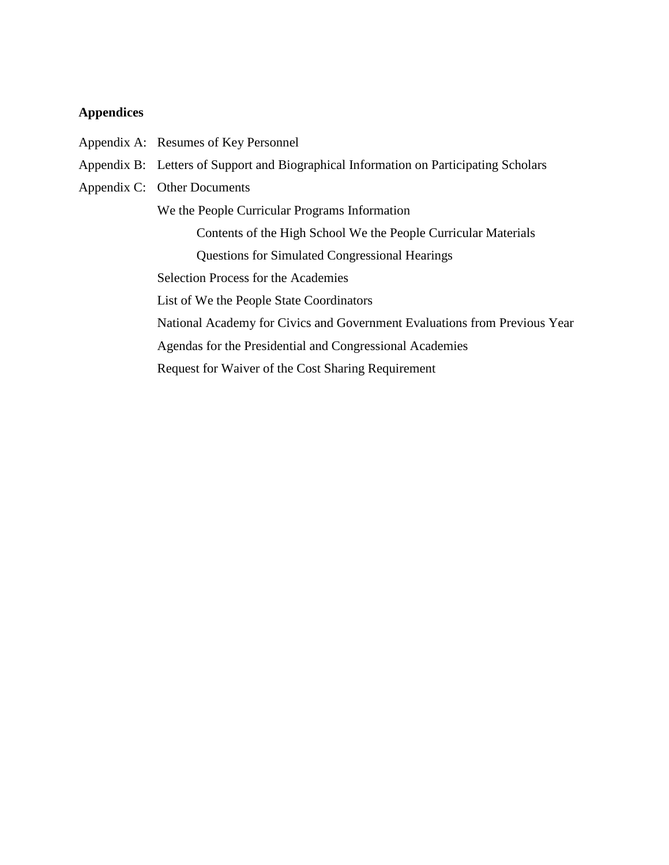### **Appendices**

- Appendix A: Resumes of Key Personnel
- Appendix B: Letters of Support and Biographical Information on Participating Scholars
- Appendix C: Other Documents

We the People Curricular Programs Information

Contents of the High School We the People Curricular Materials

Questions for Simulated Congressional Hearings

Selection Process for the Academies

List of We the People State Coordinators

National Academy for Civics and Government Evaluations from Previous Year

Agendas for the Presidential and Congressional Academies

Request for Waiver of the Cost Sharing Requirement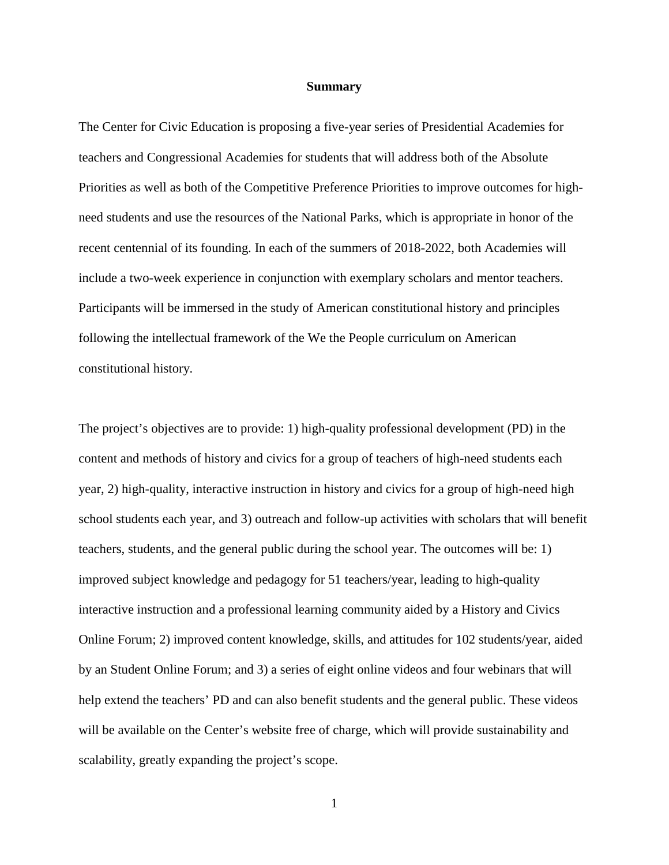#### **Summary**

The Center for Civic Education is proposing a five-year series of Presidential Academies for teachers and Congressional Academies for students that will address both of the Absolute Priorities as well as both of the Competitive Preference Priorities to improve outcomes for highneed students and use the resources of the National Parks, which is appropriate in honor of the recent centennial of its founding. In each of the summers of 2018-2022, both Academies will include a two-week experience in conjunction with exemplary scholars and mentor teachers. Participants will be immersed in the study of American constitutional history and principles following the intellectual framework of the We the People curriculum on American constitutional history.

The project's objectives are to provide: 1) high-quality professional development (PD) in the content and methods of history and civics for a group of teachers of high-need students each year, 2) high-quality, interactive instruction in history and civics for a group of high-need high school students each year, and 3) outreach and follow-up activities with scholars that will benefit teachers, students, and the general public during the school year. The outcomes will be: 1) improved subject knowledge and pedagogy for 51 teachers/year, leading to high-quality interactive instruction and a professional learning community aided by a History and Civics Online Forum; 2) improved content knowledge, skills, and attitudes for 102 students/year, aided by an Student Online Forum; and 3) a series of eight online videos and four webinars that will help extend the teachers' PD and can also benefit students and the general public. These videos will be available on the Center's website free of charge, which will provide sustainability and scalability, greatly expanding the project's scope.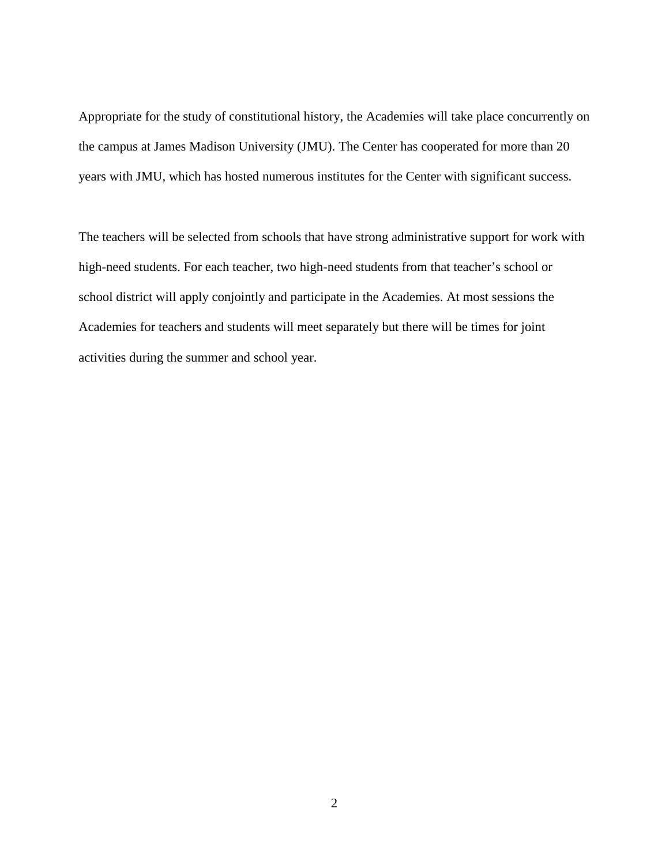Appropriate for the study of constitutional history, the Academies will take place concurrently on the campus at James Madison University (JMU). The Center has cooperated for more than 20 years with JMU, which has hosted numerous institutes for the Center with significant success.

The teachers will be selected from schools that have strong administrative support for work with high-need students. For each teacher, two high-need students from that teacher's school or school district will apply conjointly and participate in the Academies. At most sessions the Academies for teachers and students will meet separately but there will be times for joint activities during the summer and school year.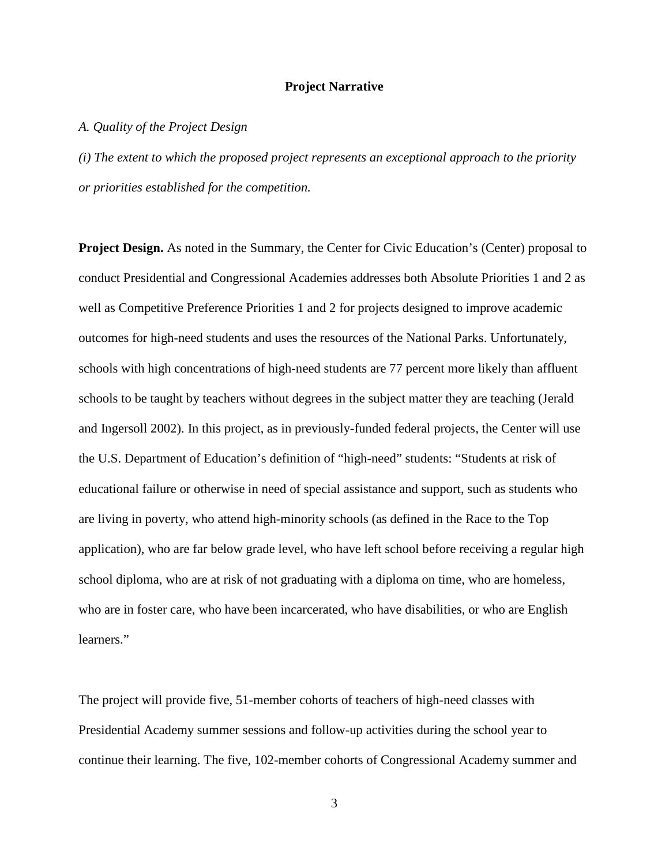### **Project Narrative**

#### *A. Quality of the Project Design*

*(i) The extent to which the proposed project represents an exceptional approach to the priority or priorities established for the competition.* 

**Project Design.** As noted in the Summary, the Center for Civic Education's (Center) proposal to conduct Presidential and Congressional Academies addresses both Absolute Priorities 1 and 2 as well as Competitive Preference Priorities 1 and 2 for projects designed to improve academic outcomes for high-need students and uses the resources of the National Parks. Unfortunately, schools with high concentrations of high-need students are 77 percent more likely than affluent schools to be taught by teachers without degrees in the subject matter they are teaching (Jerald and Ingersoll 2002). In this project, as in previously-funded federal projects, the Center will use the U.S. Department of Education's definition of "high-need" students: "Students at risk of educational failure or otherwise in need of special assistance and support, such as students who are living in poverty, who attend high-minority schools (as defined in the Race to the Top application), who are far below grade level, who have left school before receiving a regular high school diploma, who are at risk of not graduating with a diploma on time, who are homeless, who are in foster care, who have been incarcerated, who have disabilities, or who are English learners."

The project will provide five, 51-member cohorts of teachers of high-need classes with Presidential Academy summer sessions and follow-up activities during the school year to continue their learning. The five, 102-member cohorts of Congressional Academy summer and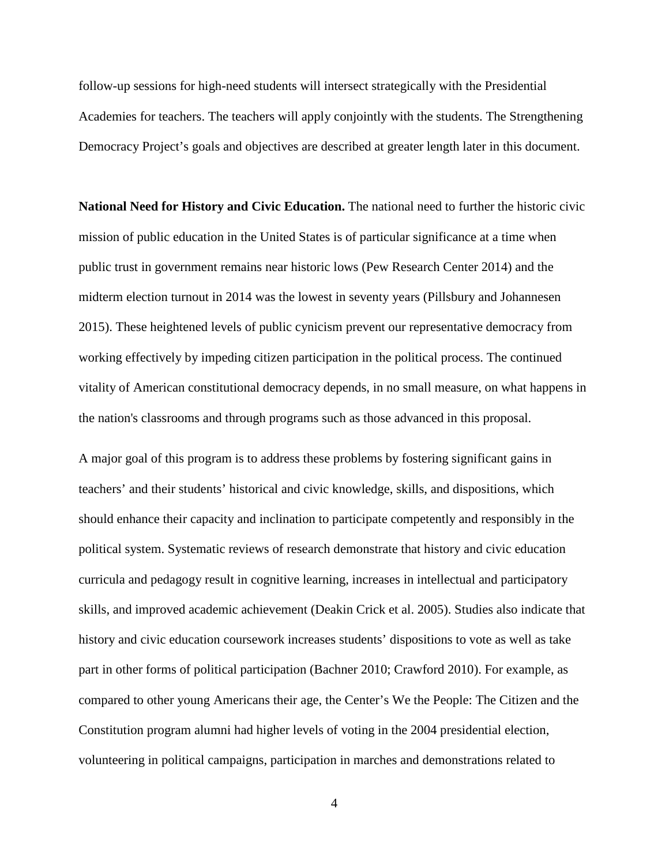follow-up sessions for high-need students will intersect strategically with the Presidential Academies for teachers. The teachers will apply conjointly with the students. The Strengthening Democracy Project's goals and objectives are described at greater length later in this document.

**National Need for History and Civic Education.** The national need to further the historic civic mission of public education in the United States is of particular significance at a time when public trust in government remains near historic lows (Pew Research Center 2014) and the midterm election turnout in 2014 was the lowest in seventy years (Pillsbury and Johannesen 2015). These heightened levels of public cynicism prevent our representative democracy from working effectively by impeding citizen participation in the political process. The continued vitality of American constitutional democracy depends, in no small measure, on what happens in the nation's classrooms and through programs such as those advanced in this proposal.

A major goal of this program is to address these problems by fostering significant gains in teachers' and their students' historical and civic knowledge, skills, and dispositions, which should enhance their capacity and inclination to participate competently and responsibly in the political system. Systematic reviews of research demonstrate that history and civic education curricula and pedagogy result in cognitive learning, increases in intellectual and participatory skills, and improved academic achievement (Deakin Crick et al. 2005). Studies also indicate that history and civic education coursework increases students' dispositions to vote as well as take part in other forms of political participation (Bachner 2010; Crawford 2010). For example, as compared to other young Americans their age, the Center's We the People: The Citizen and the Constitution program alumni had higher levels of voting in the 2004 presidential election, volunteering in political campaigns, participation in marches and demonstrations related to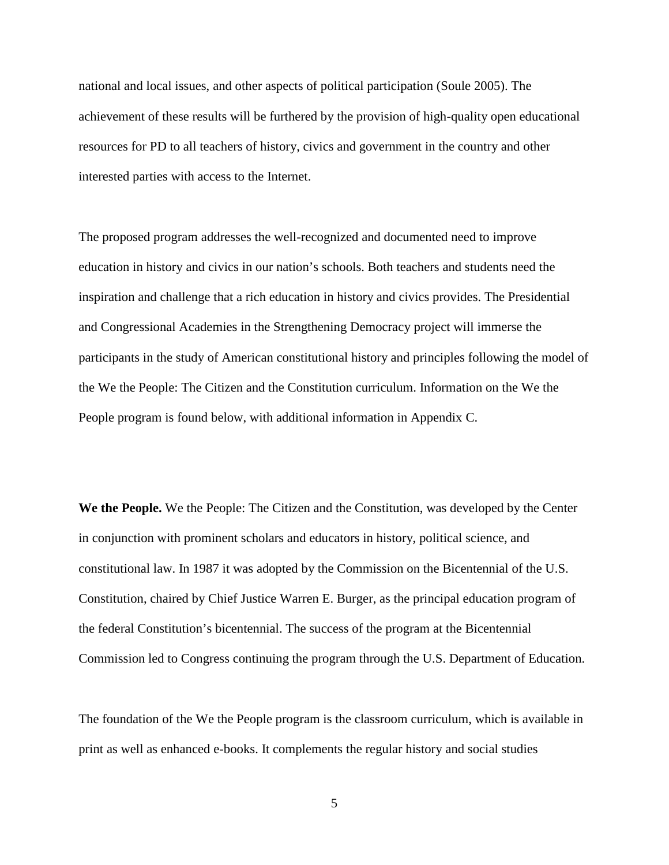national and local issues, and other aspects of political participation (Soule 2005). The achievement of these results will be furthered by the provision of high-quality open educational resources for PD to all teachers of history, civics and government in the country and other interested parties with access to the Internet.

The proposed program addresses the well-recognized and documented need to improve education in history and civics in our nation's schools. Both teachers and students need the inspiration and challenge that a rich education in history and civics provides. The Presidential and Congressional Academies in the Strengthening Democracy project will immerse the participants in the study of American constitutional history and principles following the model of the We the People: The Citizen and the Constitution curriculum. Information on the We the People program is found below, with additional information in Appendix C.

**We the People.** We the People: The Citizen and the Constitution, was developed by the Center in conjunction with prominent scholars and educators in history, political science, and constitutional law. In 1987 it was adopted by the Commission on the Bicentennial of the U.S. Constitution, chaired by Chief Justice Warren E. Burger, as the principal education program of the federal Constitution's bicentennial. The success of the program at the Bicentennial Commission led to Congress continuing the program through the U.S. Department of Education.

The foundation of the We the People program is the classroom curriculum, which is available in print as well as enhanced e-books. It complements the regular history and social studies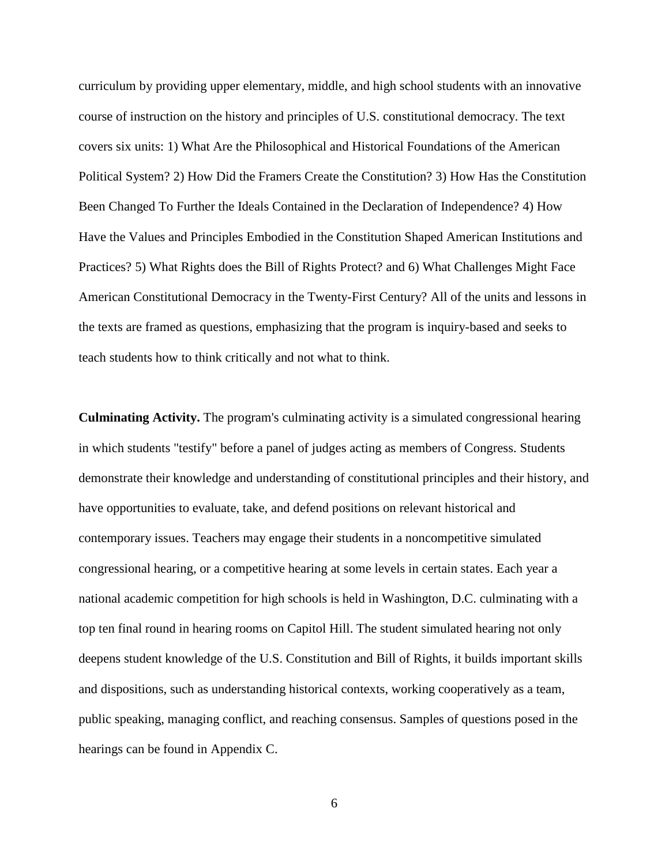curriculum by providing upper elementary, middle, and high school students with an innovative course of instruction on the history and principles of U.S. constitutional democracy. The text covers six units: 1) What Are the Philosophical and Historical Foundations of the American Political System? 2) How Did the Framers Create the Constitution? 3) How Has the Constitution Been Changed To Further the Ideals Contained in the Declaration of Independence? 4) How Have the Values and Principles Embodied in the Constitution Shaped American Institutions and Practices? 5) What Rights does the Bill of Rights Protect? and 6) What Challenges Might Face American Constitutional Democracy in the Twenty-First Century? All of the units and lessons in the texts are framed as questions, emphasizing that the program is inquiry-based and seeks to teach students how to think critically and not what to think.

**Culminating Activity.** The program's culminating activity is a simulated congressional hearing in which students "testify" before a panel of judges acting as members of Congress. Students demonstrate their knowledge and understanding of constitutional principles and their history, and have opportunities to evaluate, take, and defend positions on relevant historical and contemporary issues. Teachers may engage their students in a noncompetitive simulated congressional hearing, or a competitive hearing at some levels in certain states. Each year a national academic competition for high schools is held in Washington, D.C. culminating with a top ten final round in hearing rooms on Capitol Hill. The student simulated hearing not only deepens student knowledge of the U.S. Constitution and Bill of Rights, it builds important skills and dispositions, such as understanding historical contexts, working cooperatively as a team, public speaking, managing conflict, and reaching consensus. Samples of questions posed in the hearings can be found in Appendix C.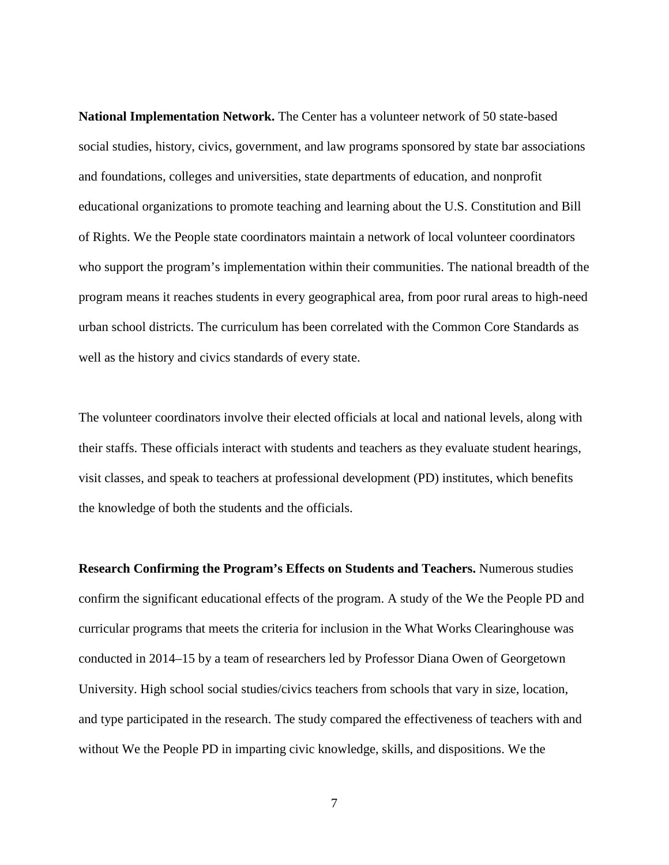**National Implementation Network.** The Center has a volunteer network of 50 state-based social studies, history, civics, government, and law programs sponsored by state bar associations and foundations, colleges and universities, state departments of education, and nonprofit educational organizations to promote teaching and learning about the U.S. Constitution and Bill of Rights. We the People state coordinators maintain a network of local volunteer coordinators who support the program's implementation within their communities. The national breadth of the program means it reaches students in every geographical area, from poor rural areas to high-need urban school districts. The curriculum has been correlated with the Common Core Standards as well as the history and civics standards of every state.

The volunteer coordinators involve their elected officials at local and national levels, along with their staffs. These officials interact with students and teachers as they evaluate student hearings, visit classes, and speak to teachers at professional development (PD) institutes, which benefits the knowledge of both the students and the officials.

**Research Confirming the Program's Effects on Students and Teachers.** Numerous studies confirm the significant educational effects of the program. A study of the We the People PD and curricular programs that meets the criteria for inclusion in the What Works Clearinghouse was conducted in 2014–15 by a team of researchers led by Professor Diana Owen of Georgetown University. High school social studies/civics teachers from schools that vary in size, location, and type participated in the research. The study compared the effectiveness of teachers with and without We the People PD in imparting civic knowledge, skills, and dispositions. We the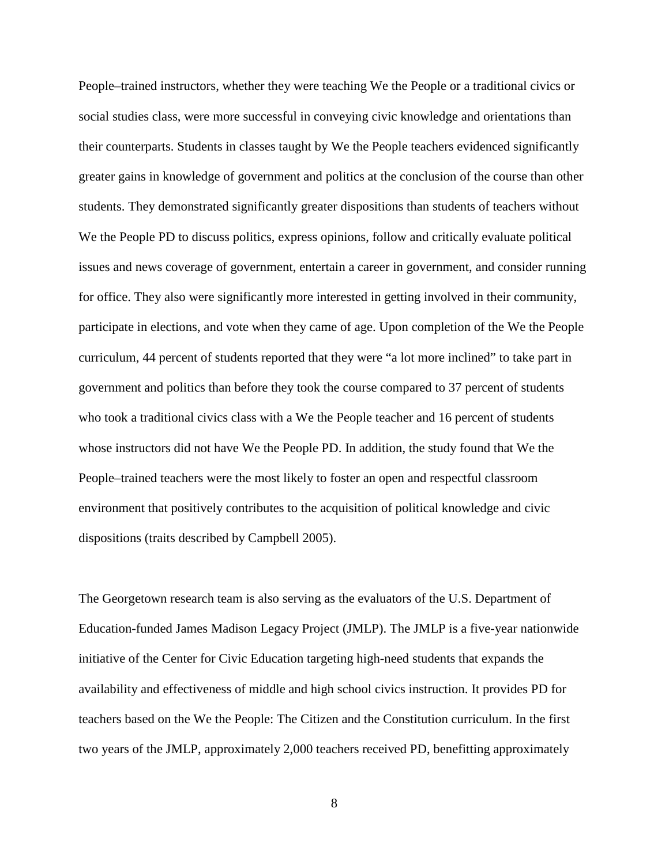People–trained instructors, whether they were teaching We the People or a traditional civics or social studies class, were more successful in conveying civic knowledge and orientations than their counterparts. Students in classes taught by We the People teachers evidenced significantly greater gains in knowledge of government and politics at the conclusion of the course than other students. They demonstrated significantly greater dispositions than students of teachers without We the People PD to discuss politics, express opinions, follow and critically evaluate political issues and news coverage of government, entertain a career in government, and consider running for office. They also were significantly more interested in getting involved in their community, participate in elections, and vote when they came of age. Upon completion of the We the People curriculum, 44 percent of students reported that they were "a lot more inclined" to take part in government and politics than before they took the course compared to 37 percent of students who took a traditional civics class with a We the People teacher and 16 percent of students whose instructors did not have We the People PD. In addition, the study found that We the People–trained teachers were the most likely to foster an open and respectful classroom environment that positively contributes to the acquisition of political knowledge and civic dispositions (traits described by Campbell 2005).

The Georgetown research team is also serving as the evaluators of the U.S. Department of Education-funded James Madison Legacy Project (JMLP). The JMLP is a five-year nationwide initiative of the Center for Civic Education targeting high-need students that expands the availability and effectiveness of middle and high school civics instruction. It provides PD for teachers based on the We the People: The Citizen and the Constitution curriculum. In the first two years of the JMLP, approximately 2,000 teachers received PD, benefitting approximately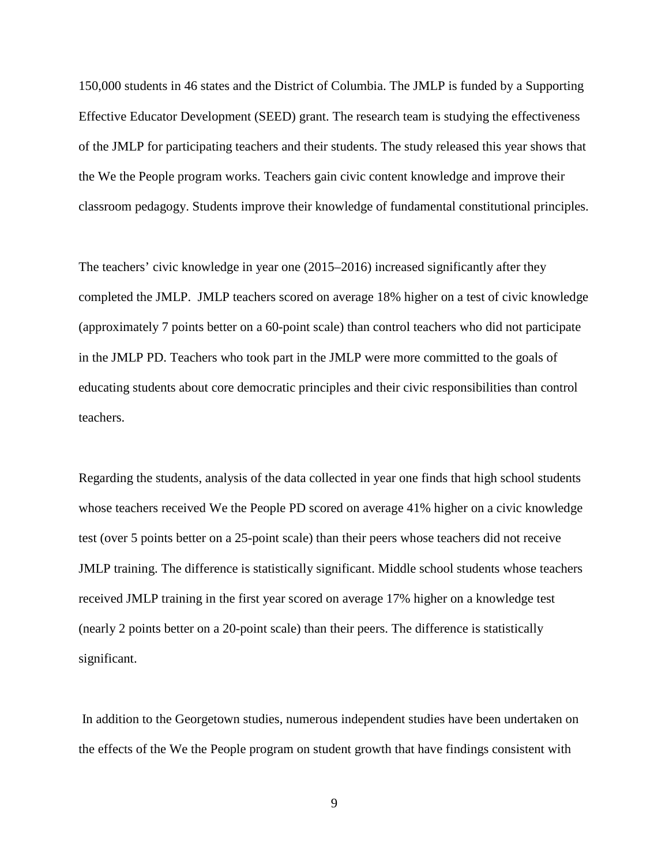150,000 students in 46 states and the District of Columbia. The JMLP is funded by a Supporting Effective Educator Development (SEED) grant. The research team is studying the effectiveness of the JMLP for participating teachers and their students. The study released this year shows that the We the People program works. Teachers gain civic content knowledge and improve their classroom pedagogy. Students improve their knowledge of fundamental constitutional principles.

The teachers' civic knowledge in year one (2015–2016) increased significantly after they completed the JMLP. JMLP teachers scored on average 18% higher on a test of civic knowledge (approximately 7 points better on a 60-point scale) than control teachers who did not participate in the JMLP PD. Teachers who took part in the JMLP were more committed to the goals of educating students about core democratic principles and their civic responsibilities than control teachers.

Regarding the students, analysis of the data collected in year one finds that high school students whose teachers received We the People PD scored on average 41% higher on a civic knowledge test (over 5 points better on a 25-point scale) than their peers whose teachers did not receive JMLP training. The difference is statistically significant. Middle school students whose teachers received JMLP training in the first year scored on average 17% higher on a knowledge test (nearly 2 points better on a 20-point scale) than their peers. The difference is statistically significant.

In addition to the Georgetown studies, numerous independent studies have been undertaken on the effects of the We the People program on student growth that have findings consistent with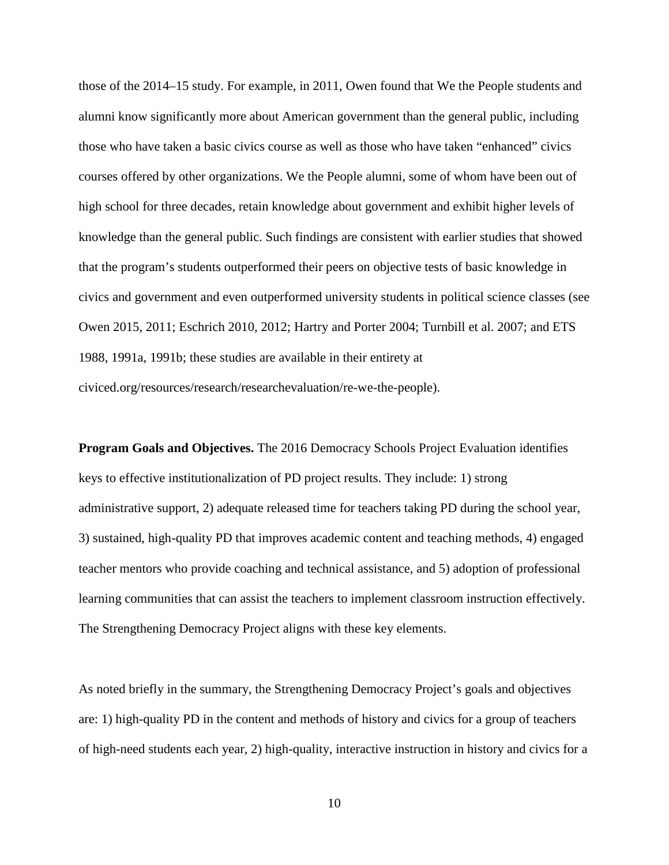those of the 2014–15 study. For example, in 2011, Owen found that We the People students and alumni know significantly more about American government than the general public, including those who have taken a basic civics course as well as those who have taken "enhanced" civics courses offered by other organizations. We the People alumni, some of whom have been out of high school for three decades, retain knowledge about government and exhibit higher levels of knowledge than the general public. Such findings are consistent with earlier studies that showed that the program's students outperformed their peers on objective tests of basic knowledge in civics and government and even outperformed university students in political science classes (see Owen 2015, 2011; Eschrich 2010, 2012; Hartry and Porter 2004; Turnbill et al. 2007; and ETS 1988, 1991a, 1991b; these studies are available in their entirety at civiced.org/resources/research/researchevaluation/re-we-the-people).

**Program Goals and Objectives.** The 2016 Democracy Schools Project Evaluation identifies keys to effective institutionalization of PD project results. They include: 1) strong administrative support, 2) adequate released time for teachers taking PD during the school year, 3) sustained, high-quality PD that improves academic content and teaching methods, 4) engaged teacher mentors who provide coaching and technical assistance, and 5) adoption of professional learning communities that can assist the teachers to implement classroom instruction effectively. The Strengthening Democracy Project aligns with these key elements.

As noted briefly in the summary, the Strengthening Democracy Project's goals and objectives are: 1) high-quality PD in the content and methods of history and civics for a group of teachers of high-need students each year, 2) high-quality, interactive instruction in history and civics for a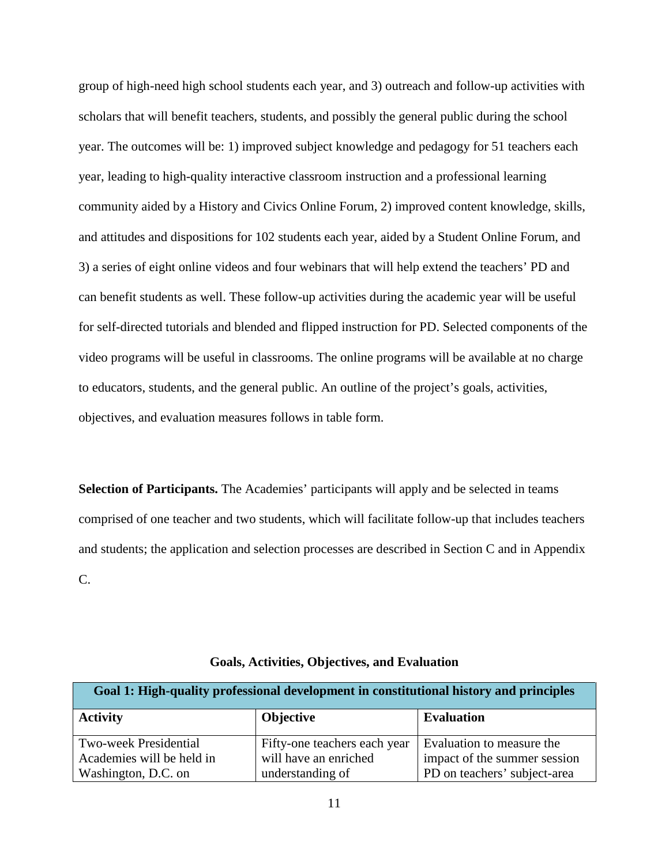group of high-need high school students each year, and 3) outreach and follow-up activities with scholars that will benefit teachers, students, and possibly the general public during the school year. The outcomes will be: 1) improved subject knowledge and pedagogy for 51 teachers each year, leading to high-quality interactive classroom instruction and a professional learning community aided by a History and Civics Online Forum, 2) improved content knowledge, skills, and attitudes and dispositions for 102 students each year, aided by a Student Online Forum, and 3) a series of eight online videos and four webinars that will help extend the teachers' PD and can benefit students as well. These follow-up activities during the academic year will be useful for self-directed tutorials and blended and flipped instruction for PD. Selected components of the video programs will be useful in classrooms. The online programs will be available at no charge to educators, students, and the general public. An outline of the project's goals, activities, objectives, and evaluation measures follows in table form.

**Selection of Participants.** The Academies' participants will apply and be selected in teams comprised of one teacher and two students, which will facilitate follow-up that includes teachers and students; the application and selection processes are described in Section C and in Appendix C.

| Goal 1: High-quality professional development in constitutional history and principles |                              |                              |
|----------------------------------------------------------------------------------------|------------------------------|------------------------------|
| <b>Activity</b>                                                                        | <b>Objective</b>             | <b>Evaluation</b>            |
| <b>Two-week Presidential</b>                                                           | Fifty-one teachers each year | Evaluation to measure the    |
| Academies will be held in                                                              | will have an enriched        | impact of the summer session |
| Washington, D.C. on                                                                    | understanding of             | PD on teachers' subject-area |

**Goals, Activities, Objectives, and Evaluation**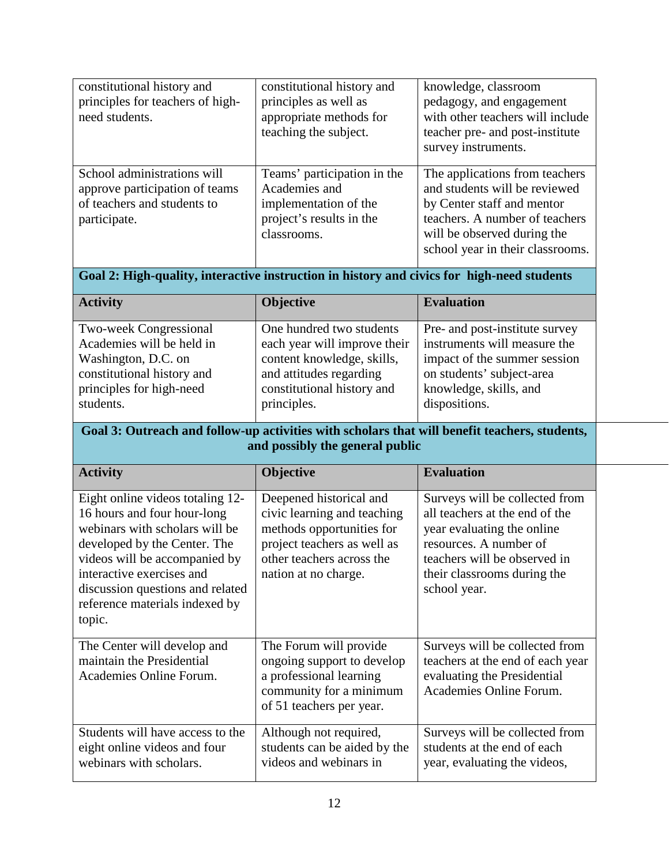| constitutional history and<br>principles for teachers of high-<br>need students.                             | constitutional history and<br>principles as well as<br>appropriate methods for<br>teaching the subject.          | knowledge, classroom<br>pedagogy, and engagement<br>with other teachers will include<br>teacher pre- and post-institute<br>survey instruments.                                                     |
|--------------------------------------------------------------------------------------------------------------|------------------------------------------------------------------------------------------------------------------|----------------------------------------------------------------------------------------------------------------------------------------------------------------------------------------------------|
| School administrations will<br>approve participation of teams<br>of teachers and students to<br>participate. | Teams' participation in the<br>Academies and<br>implementation of the<br>project's results in the<br>classrooms. | The applications from teachers<br>and students will be reviewed<br>by Center staff and mentor<br>teachers. A number of teachers<br>will be observed during the<br>school year in their classrooms. |

## **Goal 2: High-quality, interactive instruction in history and civics for high-need students**

| <b>Activity</b>                                            | <b>Objective</b>                                         | <b>Evaluation</b>                                              |
|------------------------------------------------------------|----------------------------------------------------------|----------------------------------------------------------------|
| <b>Two-week Congressional</b><br>Academies will be held in | One hundred two students<br>each year will improve their | Pre- and post-institute survey<br>instruments will measure the |
| Washington, D.C. on                                        | content knowledge, skills,                               | impact of the summer session                                   |
| constitutional history and<br>principles for high-need     | and attitudes regarding<br>constitutional history and    | on students' subject-area<br>knowledge, skills, and            |
| students.                                                  | principles.                                              | dispositions.                                                  |

### **Goal 3: Outreach and follow-up activities with scholars that will benefit teachers, students, and possibly the general public**

| <b>Activity</b>                                                                                                                                                                                                                                                                 | Objective                                                                                                                                                               | <b>Evaluation</b>                                                                                                                                                                                       |
|---------------------------------------------------------------------------------------------------------------------------------------------------------------------------------------------------------------------------------------------------------------------------------|-------------------------------------------------------------------------------------------------------------------------------------------------------------------------|---------------------------------------------------------------------------------------------------------------------------------------------------------------------------------------------------------|
| Eight online videos totaling 12-<br>16 hours and four hour-long<br>webinars with scholars will be<br>developed by the Center. The<br>videos will be accompanied by<br>interactive exercises and<br>discussion questions and related<br>reference materials indexed by<br>topic. | Deepened historical and<br>civic learning and teaching<br>methods opportunities for<br>project teachers as well as<br>other teachers across the<br>nation at no charge. | Surveys will be collected from<br>all teachers at the end of the<br>year evaluating the online<br>resources. A number of<br>teachers will be observed in<br>their classrooms during the<br>school year. |
| The Center will develop and<br>maintain the Presidential<br>Academies Online Forum.                                                                                                                                                                                             | The Forum will provide<br>ongoing support to develop<br>a professional learning<br>community for a minimum<br>of 51 teachers per year.                                  | Surveys will be collected from<br>teachers at the end of each year<br>evaluating the Presidential<br>Academies Online Forum.                                                                            |
| Students will have access to the<br>eight online videos and four<br>webinars with scholars.                                                                                                                                                                                     | Although not required,<br>students can be aided by the<br>videos and webinars in                                                                                        | Surveys will be collected from<br>students at the end of each<br>year, evaluating the videos,                                                                                                           |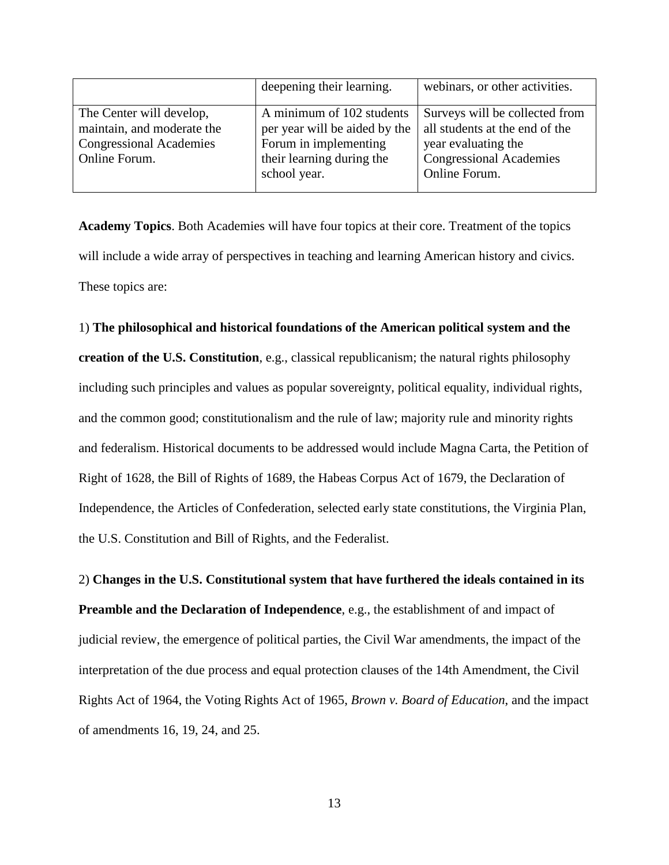|                                | deepening their learning.     | webinars, or other activities. |
|--------------------------------|-------------------------------|--------------------------------|
| The Center will develop,       | A minimum of 102 students     | Surveys will be collected from |
| maintain, and moderate the     | per year will be aided by the | all students at the end of the |
| <b>Congressional Academies</b> | Forum in implementing         | year evaluating the            |
| Online Forum.                  | their learning during the     | <b>Congressional Academies</b> |
|                                | school year.                  | Online Forum.                  |

**Academy Topics**. Both Academies will have four topics at their core. Treatment of the topics will include a wide array of perspectives in teaching and learning American history and civics. These topics are:

### 1) **The philosophical and historical foundations of the American political system and the**

**creation of the U.S. Constitution**, e.g., classical republicanism; the natural rights philosophy including such principles and values as popular sovereignty, political equality, individual rights, and the common good; constitutionalism and the rule of law; majority rule and minority rights and federalism. Historical documents to be addressed would include Magna Carta, the Petition of Right of 1628, the Bill of Rights of 1689, the Habeas Corpus Act of 1679, the Declaration of Independence, the Articles of Confederation, selected early state constitutions, the Virginia Plan, the U.S. Constitution and Bill of Rights, and the Federalist.

# 2) **Changes in the U.S. Constitutional system that have furthered the ideals contained in its Preamble and the Declaration of Independence**, e.g., the establishment of and impact of judicial review, the emergence of political parties, the Civil War amendments, the impact of the interpretation of the due process and equal protection clauses of the 14th Amendment, the Civil Rights Act of 1964, the Voting Rights Act of 1965, *Brown v. Board of Education*, and the impact of amendments 16, 19, 24, and 25.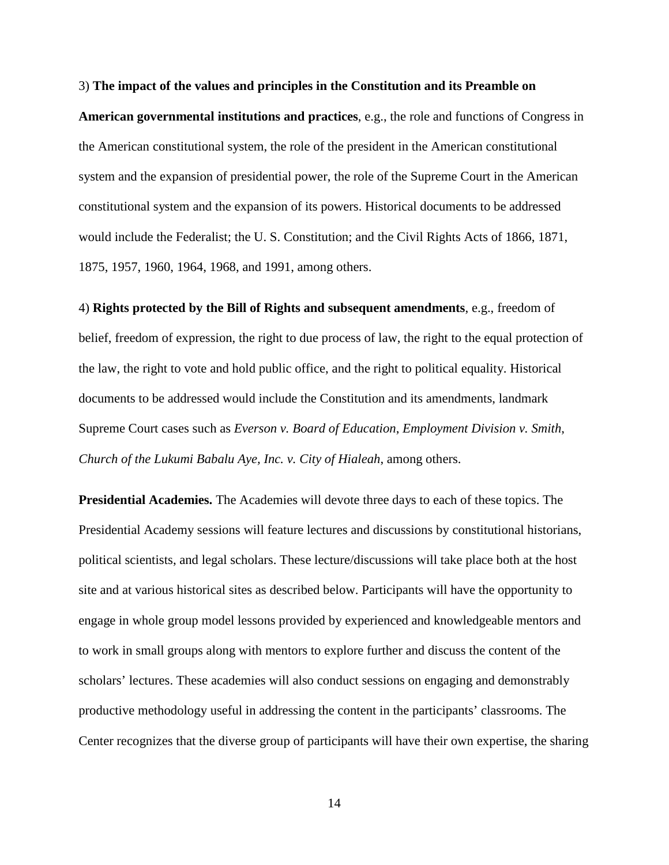3) **The impact of the values and principles in the Constitution and its Preamble on American governmental institutions and practices**, e.g., the role and functions of Congress in the American constitutional system, the role of the president in the American constitutional system and the expansion of presidential power, the role of the Supreme Court in the American constitutional system and the expansion of its powers. Historical documents to be addressed would include the Federalist; the U. S. Constitution; and the Civil Rights Acts of 1866, 1871, 1875, 1957, 1960, 1964, 1968, and 1991, among others.

4) **Rights protected by the Bill of Rights and subsequent amendments**, e.g., freedom of belief, freedom of expression, the right to due process of law, the right to the equal protection of the law, the right to vote and hold public office, and the right to political equality. Historical documents to be addressed would include the Constitution and its amendments, landmark Supreme Court cases such as *Everson v. Board of Education*, *Employment Division v. Smith*, *Church of the Lukumi Babalu Aye, Inc. v. City of Hialeah*, among others.

**Presidential Academies.** The Academies will devote three days to each of these topics. The Presidential Academy sessions will feature lectures and discussions by constitutional historians, political scientists, and legal scholars. These lecture/discussions will take place both at the host site and at various historical sites as described below. Participants will have the opportunity to engage in whole group model lessons provided by experienced and knowledgeable mentors and to work in small groups along with mentors to explore further and discuss the content of the scholars' lectures. These academies will also conduct sessions on engaging and demonstrably productive methodology useful in addressing the content in the participants' classrooms. The Center recognizes that the diverse group of participants will have their own expertise, the sharing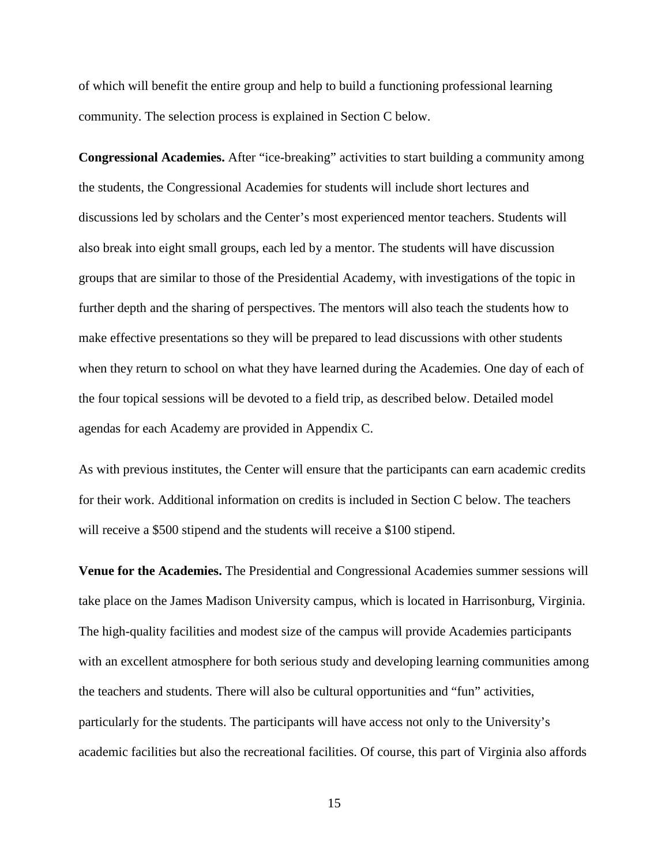of which will benefit the entire group and help to build a functioning professional learning community. The selection process is explained in Section C below.

**Congressional Academies.** After "ice-breaking" activities to start building a community among the students, the Congressional Academies for students will include short lectures and discussions led by scholars and the Center's most experienced mentor teachers. Students will also break into eight small groups, each led by a mentor. The students will have discussion groups that are similar to those of the Presidential Academy, with investigations of the topic in further depth and the sharing of perspectives. The mentors will also teach the students how to make effective presentations so they will be prepared to lead discussions with other students when they return to school on what they have learned during the Academies. One day of each of the four topical sessions will be devoted to a field trip, as described below. Detailed model agendas for each Academy are provided in Appendix C.

As with previous institutes, the Center will ensure that the participants can earn academic credits for their work. Additional information on credits is included in Section C below. The teachers will receive a \$500 stipend and the students will receive a \$100 stipend.

**Venue for the Academies.** The Presidential and Congressional Academies summer sessions will take place on the James Madison University campus, which is located in Harrisonburg, Virginia. The high-quality facilities and modest size of the campus will provide Academies participants with an excellent atmosphere for both serious study and developing learning communities among the teachers and students. There will also be cultural opportunities and "fun" activities, particularly for the students. The participants will have access not only to the University's academic facilities but also the recreational facilities. Of course, this part of Virginia also affords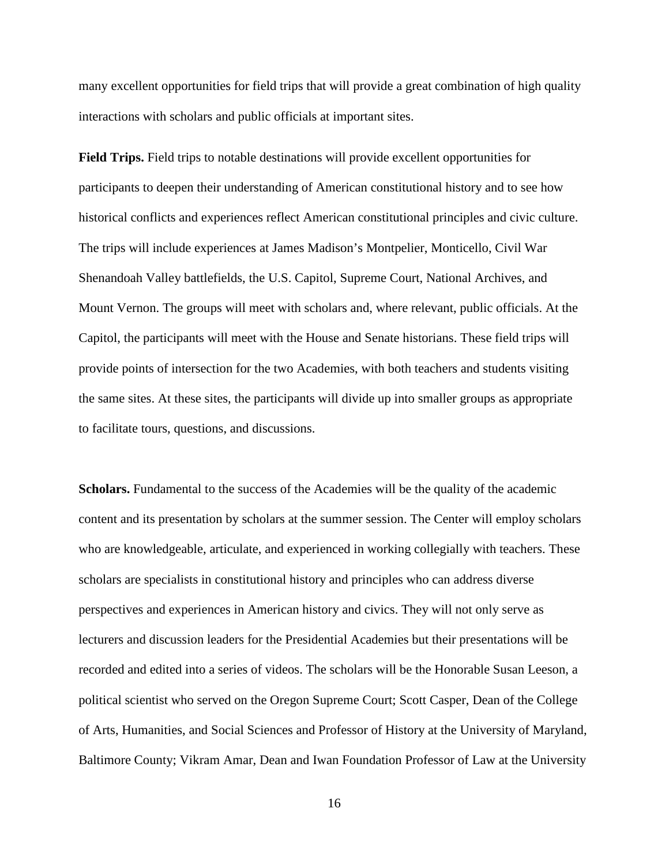many excellent opportunities for field trips that will provide a great combination of high quality interactions with scholars and public officials at important sites.

**Field Trips.** Field trips to notable destinations will provide excellent opportunities for participants to deepen their understanding of American constitutional history and to see how historical conflicts and experiences reflect American constitutional principles and civic culture. The trips will include experiences at James Madison's Montpelier, Monticello, Civil War Shenandoah Valley battlefields, the U.S. Capitol, Supreme Court, National Archives, and Mount Vernon. The groups will meet with scholars and, where relevant, public officials. At the Capitol, the participants will meet with the House and Senate historians. These field trips will provide points of intersection for the two Academies, with both teachers and students visiting the same sites. At these sites, the participants will divide up into smaller groups as appropriate to facilitate tours, questions, and discussions.

**Scholars.** Fundamental to the success of the Academies will be the quality of the academic content and its presentation by scholars at the summer session. The Center will employ scholars who are knowledgeable, articulate, and experienced in working collegially with teachers. These scholars are specialists in constitutional history and principles who can address diverse perspectives and experiences in American history and civics. They will not only serve as lecturers and discussion leaders for the Presidential Academies but their presentations will be recorded and edited into a series of videos. The scholars will be the Honorable Susan Leeson, a political scientist who served on the Oregon Supreme Court; Scott Casper, Dean of the College of Arts, Humanities, and Social Sciences and Professor of History at the University of Maryland, Baltimore County; Vikram Amar, Dean and Iwan Foundation Professor of Law at the University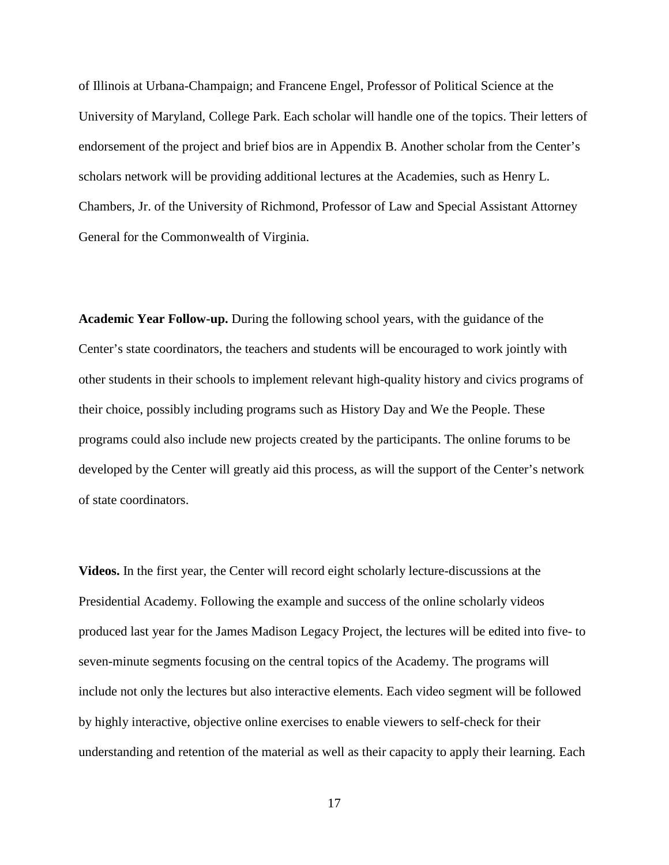of Illinois at Urbana-Champaign; and Francene Engel, Professor of Political Science at the University of Maryland, College Park. Each scholar will handle one of the topics. Their letters of endorsement of the project and brief bios are in Appendix B. Another scholar from the Center's scholars network will be providing additional lectures at the Academies, such as Henry L. Chambers, Jr. of the University of Richmond, Professor of Law and Special Assistant Attorney General for the Commonwealth of Virginia.

**Academic Year Follow-up.** During the following school years, with the guidance of the Center's state coordinators, the teachers and students will be encouraged to work jointly with other students in their schools to implement relevant high-quality history and civics programs of their choice, possibly including programs such as History Day and We the People. These programs could also include new projects created by the participants. The online forums to be developed by the Center will greatly aid this process, as will the support of the Center's network of state coordinators.

**Videos.** In the first year, the Center will record eight scholarly lecture-discussions at the Presidential Academy. Following the example and success of the online scholarly videos produced last year for the James Madison Legacy Project, the lectures will be edited into five- to seven-minute segments focusing on the central topics of the Academy. The programs will include not only the lectures but also interactive elements. Each video segment will be followed by highly interactive, objective online exercises to enable viewers to self-check for their understanding and retention of the material as well as their capacity to apply their learning. Each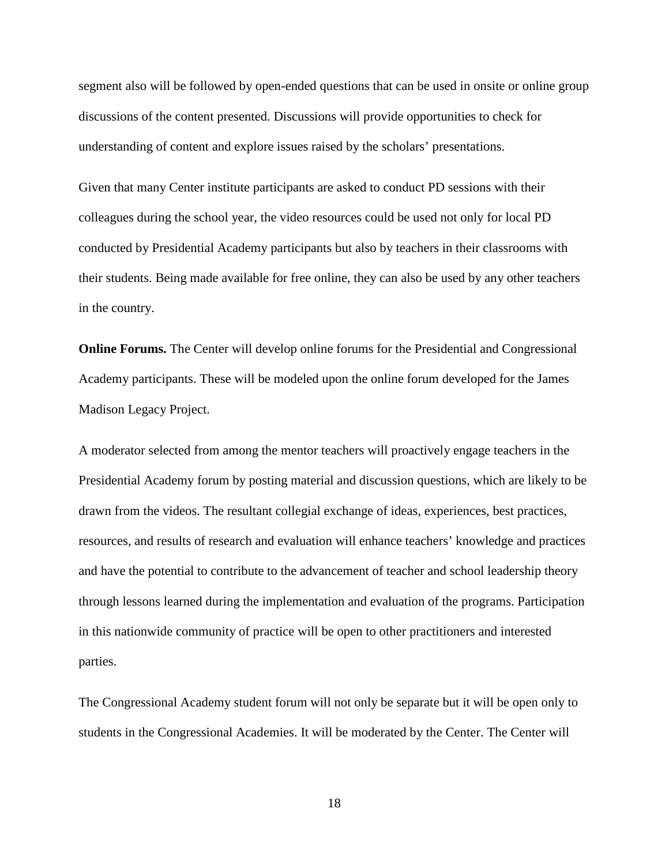segment also will be followed by open-ended questions that can be used in onsite or online group discussions of the content presented. Discussions will provide opportunities to check for understanding of content and explore issues raised by the scholars' presentations.

Given that many Center institute participants are asked to conduct PD sessions with their colleagues during the school year, the video resources could be used not only for local PD conducted by Presidential Academy participants but also by teachers in their classrooms with their students. Being made available for free online, they can also be used by any other teachers in the country.

**Online Forums.** The Center will develop online forums for the Presidential and Congressional Academy participants. These will be modeled upon the online forum developed for the James Madison Legacy Project.

A moderator selected from among the mentor teachers will proactively engage teachers in the Presidential Academy forum by posting material and discussion questions, which are likely to be drawn from the videos. The resultant collegial exchange of ideas, experiences, best practices, resources, and results of research and evaluation will enhance teachers' knowledge and practices and have the potential to contribute to the advancement of teacher and school leadership theory through lessons learned during the implementation and evaluation of the programs. Participation in this nationwide community of practice will be open to other practitioners and interested parties.

The Congressional Academy student forum will not only be separate but it will be open only to students in the Congressional Academies. It will be moderated by the Center. The Center will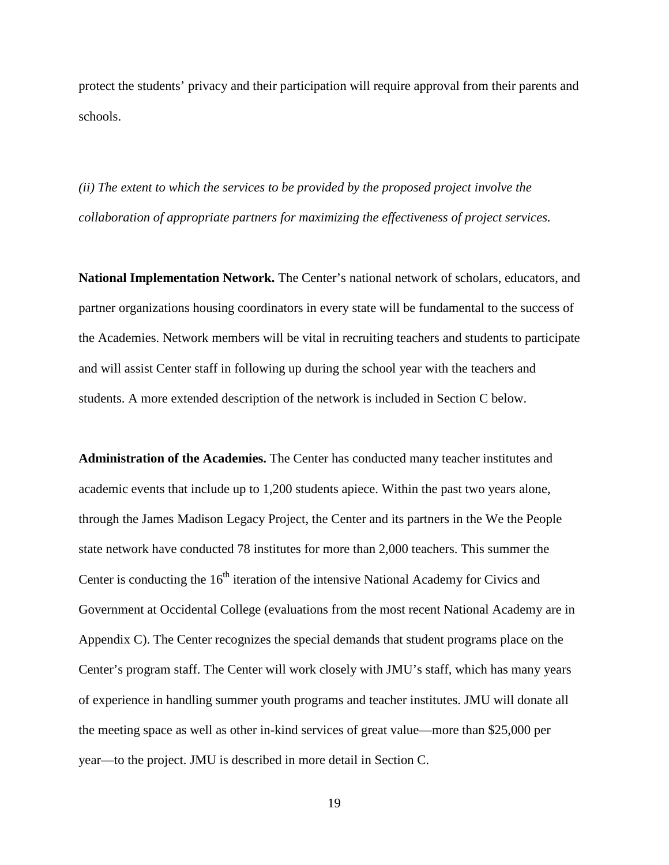protect the students' privacy and their participation will require approval from their parents and schools.

*(ii) The extent to which the services to be provided by the proposed project involve the collaboration of appropriate partners for maximizing the effectiveness of project services.* 

**National Implementation Network.** The Center's national network of scholars, educators, and partner organizations housing coordinators in every state will be fundamental to the success of the Academies. Network members will be vital in recruiting teachers and students to participate and will assist Center staff in following up during the school year with the teachers and students. A more extended description of the network is included in Section C below.

**Administration of the Academies.** The Center has conducted many teacher institutes and academic events that include up to 1,200 students apiece. Within the past two years alone, through the James Madison Legacy Project, the Center and its partners in the We the People state network have conducted 78 institutes for more than 2,000 teachers. This summer the Center is conducting the  $16<sup>th</sup>$  iteration of the intensive National Academy for Civics and Government at Occidental College (evaluations from the most recent National Academy are in Appendix C). The Center recognizes the special demands that student programs place on the Center's program staff. The Center will work closely with JMU's staff, which has many years of experience in handling summer youth programs and teacher institutes. JMU will donate all the meeting space as well as other in-kind services of great value—more than \$25,000 per year—to the project. JMU is described in more detail in Section C.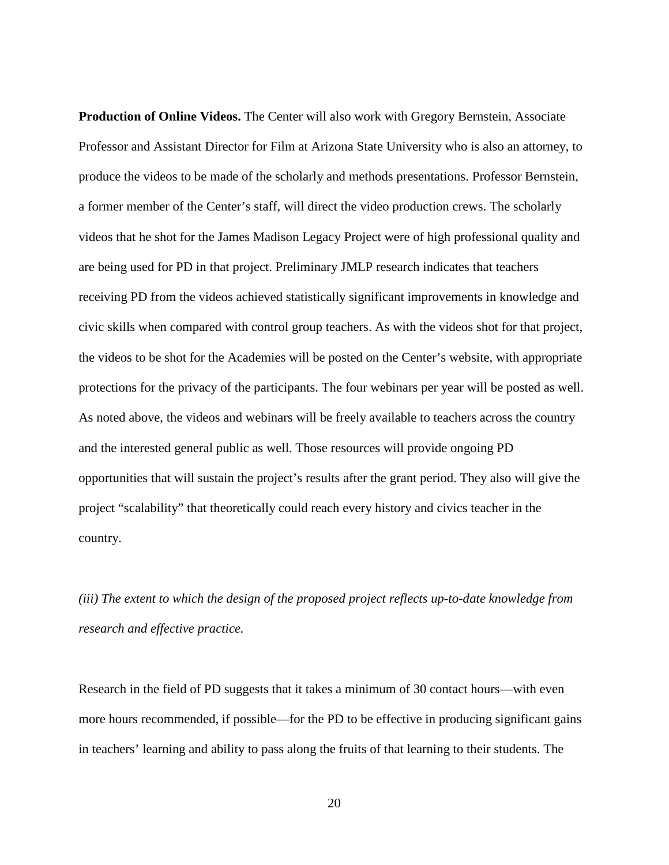**Production of Online Videos.** The Center will also work with Gregory Bernstein, Associate Professor and Assistant Director for Film at Arizona State University who is also an attorney, to produce the videos to be made of the scholarly and methods presentations. Professor Bernstein, a former member of the Center's staff, will direct the video production crews. The scholarly videos that he shot for the James Madison Legacy Project were of high professional quality and are being used for PD in that project. Preliminary JMLP research indicates that teachers receiving PD from the videos achieved statistically significant improvements in knowledge and civic skills when compared with control group teachers. As with the videos shot for that project, the videos to be shot for the Academies will be posted on the Center's website, with appropriate protections for the privacy of the participants. The four webinars per year will be posted as well. As noted above, the videos and webinars will be freely available to teachers across the country and the interested general public as well. Those resources will provide ongoing PD opportunities that will sustain the project's results after the grant period. They also will give the project "scalability" that theoretically could reach every history and civics teacher in the country.

*(iii) The extent to which the design of the proposed project reflects up-to-date knowledge from research and effective practice.* 

Research in the field of PD suggests that it takes a minimum of 30 contact hours—with even more hours recommended, if possible—for the PD to be effective in producing significant gains in teachers' learning and ability to pass along the fruits of that learning to their students. The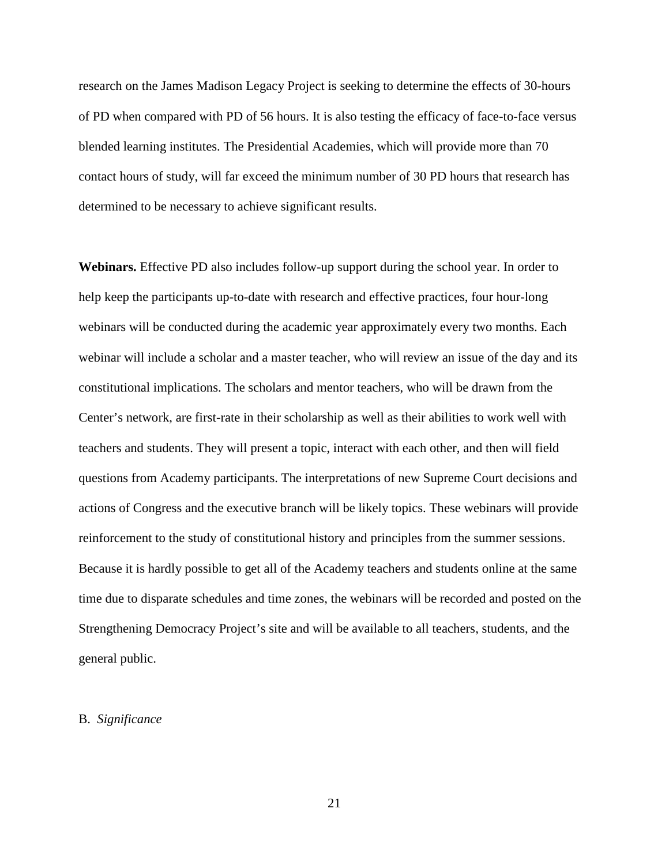research on the James Madison Legacy Project is seeking to determine the effects of 30-hours of PD when compared with PD of 56 hours. It is also testing the efficacy of face-to-face versus blended learning institutes. The Presidential Academies, which will provide more than 70 contact hours of study, will far exceed the minimum number of 30 PD hours that research has determined to be necessary to achieve significant results.

**Webinars.** Effective PD also includes follow-up support during the school year. In order to help keep the participants up-to-date with research and effective practices, four hour-long webinars will be conducted during the academic year approximately every two months. Each webinar will include a scholar and a master teacher, who will review an issue of the day and its constitutional implications. The scholars and mentor teachers, who will be drawn from the Center's network, are first-rate in their scholarship as well as their abilities to work well with teachers and students. They will present a topic, interact with each other, and then will field questions from Academy participants. The interpretations of new Supreme Court decisions and actions of Congress and the executive branch will be likely topics. These webinars will provide reinforcement to the study of constitutional history and principles from the summer sessions. Because it is hardly possible to get all of the Academy teachers and students online at the same time due to disparate schedules and time zones, the webinars will be recorded and posted on the Strengthening Democracy Project's site and will be available to all teachers, students, and the general public.

### B. *Significance*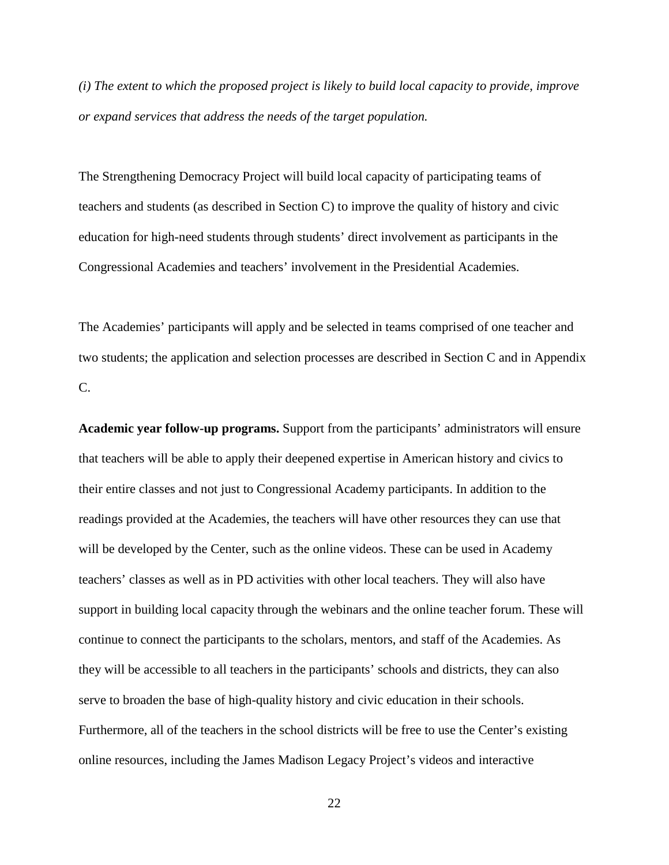*(i) The extent to which the proposed project is likely to build local capacity to provide, improve or expand services that address the needs of the target population.* 

The Strengthening Democracy Project will build local capacity of participating teams of teachers and students (as described in Section C) to improve the quality of history and civic education for high-need students through students' direct involvement as participants in the Congressional Academies and teachers' involvement in the Presidential Academies.

The Academies' participants will apply and be selected in teams comprised of one teacher and two students; the application and selection processes are described in Section C and in Appendix C.

**Academic year follow-up programs.** Support from the participants' administrators will ensure that teachers will be able to apply their deepened expertise in American history and civics to their entire classes and not just to Congressional Academy participants. In addition to the readings provided at the Academies, the teachers will have other resources they can use that will be developed by the Center, such as the online videos. These can be used in Academy teachers' classes as well as in PD activities with other local teachers. They will also have support in building local capacity through the webinars and the online teacher forum. These will continue to connect the participants to the scholars, mentors, and staff of the Academies. As they will be accessible to all teachers in the participants' schools and districts, they can also serve to broaden the base of high-quality history and civic education in their schools. Furthermore, all of the teachers in the school districts will be free to use the Center's existing online resources, including the James Madison Legacy Project's videos and interactive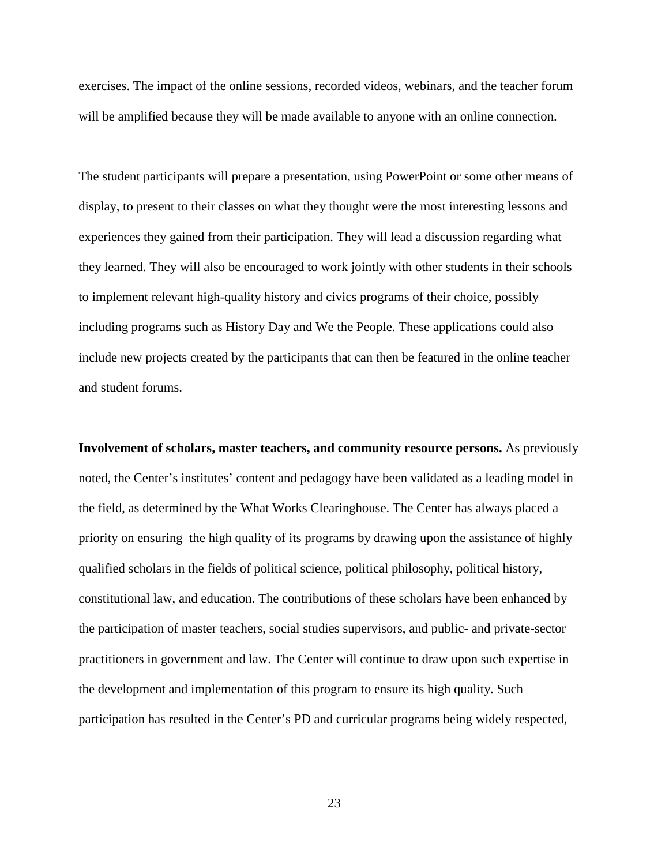exercises. The impact of the online sessions, recorded videos, webinars, and the teacher forum will be amplified because they will be made available to anyone with an online connection.

The student participants will prepare a presentation, using PowerPoint or some other means of display, to present to their classes on what they thought were the most interesting lessons and experiences they gained from their participation. They will lead a discussion regarding what they learned. They will also be encouraged to work jointly with other students in their schools to implement relevant high-quality history and civics programs of their choice, possibly including programs such as History Day and We the People. These applications could also include new projects created by the participants that can then be featured in the online teacher and student forums.

**Involvement of scholars, master teachers, and community resource persons.** As previously noted, the Center's institutes' content and pedagogy have been validated as a leading model in the field, as determined by the What Works Clearinghouse. The Center has always placed a priority on ensuring the high quality of its programs by drawing upon the assistance of highly qualified scholars in the fields of political science, political philosophy, political history, constitutional law, and education. The contributions of these scholars have been enhanced by the participation of master teachers, social studies supervisors, and public- and private-sector practitioners in government and law. The Center will continue to draw upon such expertise in the development and implementation of this program to ensure its high quality. Such participation has resulted in the Center's PD and curricular programs being widely respected,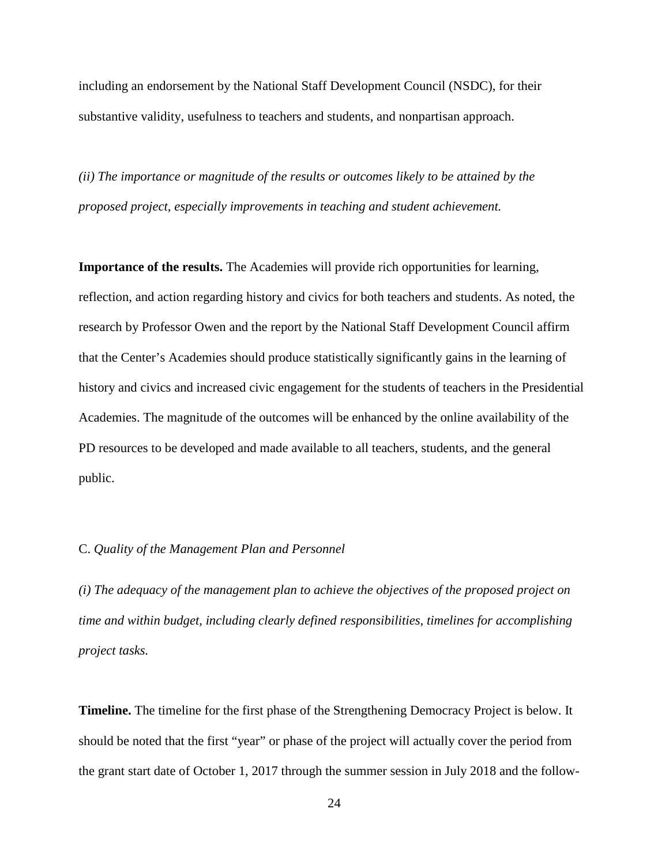including an endorsement by the National Staff Development Council (NSDC), for their substantive validity, usefulness to teachers and students, and nonpartisan approach.

*(ii) The importance or magnitude of the results or outcomes likely to be attained by the proposed project, especially improvements in teaching and student achievement.* 

**Importance of the results.** The Academies will provide rich opportunities for learning, reflection, and action regarding history and civics for both teachers and students. As noted, the research by Professor Owen and the report by the National Staff Development Council affirm that the Center's Academies should produce statistically significantly gains in the learning of history and civics and increased civic engagement for the students of teachers in the Presidential Academies. The magnitude of the outcomes will be enhanced by the online availability of the PD resources to be developed and made available to all teachers, students, and the general public.

### C. *Quality of the Management Plan and Personnel*

*(i) The adequacy of the management plan to achieve the objectives of the proposed project on time and within budget, including clearly defined responsibilities, timelines for accomplishing project tasks.* 

**Timeline.** The timeline for the first phase of the Strengthening Democracy Project is below. It should be noted that the first "year" or phase of the project will actually cover the period from the grant start date of October 1, 2017 through the summer session in July 2018 and the follow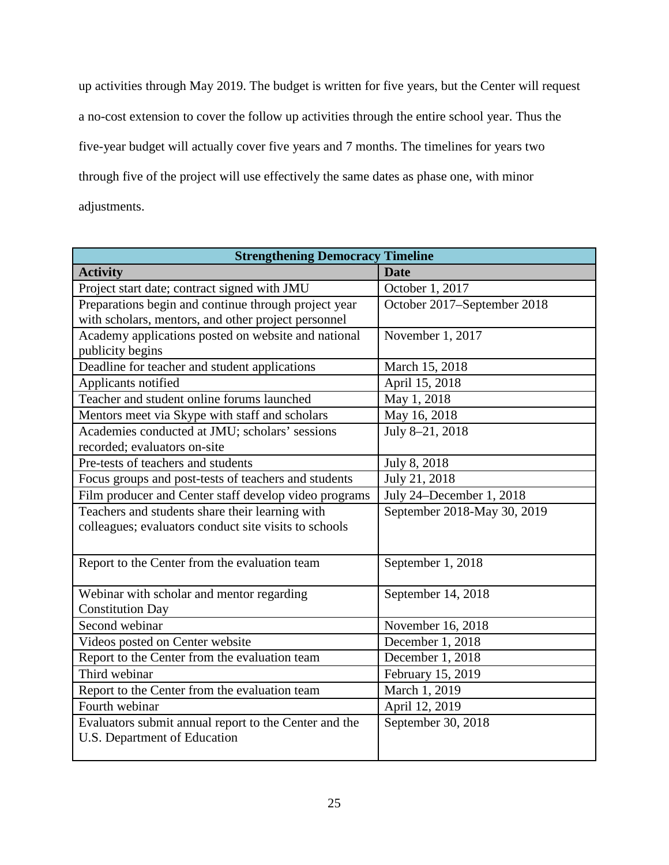up activities through May 2019. The budget is written for five years, but the Center will request a no-cost extension to cover the follow up activities through the entire school year. Thus the five-year budget will actually cover five years and 7 months. The timelines for years two through five of the project will use effectively the same dates as phase one, with minor adjustments.

| <b>Strengthening Democracy Timeline</b>               |                             |  |
|-------------------------------------------------------|-----------------------------|--|
| <b>Activity</b>                                       | <b>Date</b>                 |  |
| Project start date; contract signed with JMU          | October 1, 2017             |  |
| Preparations begin and continue through project year  | October 2017-September 2018 |  |
| with scholars, mentors, and other project personnel   |                             |  |
| Academy applications posted on website and national   | November 1, 2017            |  |
| publicity begins                                      |                             |  |
| Deadline for teacher and student applications         | March 15, 2018              |  |
| Applicants notified                                   | April 15, 2018              |  |
| Teacher and student online forums launched            | May 1, 2018                 |  |
| Mentors meet via Skype with staff and scholars        | May 16, 2018                |  |
| Academies conducted at JMU; scholars' sessions        | July 8-21, 2018             |  |
| recorded; evaluators on-site                          |                             |  |
| Pre-tests of teachers and students                    | July 8, 2018                |  |
| Focus groups and post-tests of teachers and students  | July 21, 2018               |  |
| Film producer and Center staff develop video programs | July 24–December 1, 2018    |  |
| Teachers and students share their learning with       | September 2018-May 30, 2019 |  |
| colleagues; evaluators conduct site visits to schools |                             |  |
|                                                       |                             |  |
| Report to the Center from the evaluation team         | September 1, 2018           |  |
|                                                       |                             |  |
| Webinar with scholar and mentor regarding             | September 14, 2018          |  |
| <b>Constitution Day</b>                               |                             |  |
| Second webinar                                        | November 16, 2018           |  |
| Videos posted on Center website                       | December 1, 2018            |  |
| Report to the Center from the evaluation team         | December 1, 2018            |  |
| Third webinar                                         | February 15, 2019           |  |
| Report to the Center from the evaluation team         | March 1, 2019               |  |
| Fourth webinar                                        | April 12, 2019              |  |
| Evaluators submit annual report to the Center and the | September 30, 2018          |  |
| U.S. Department of Education                          |                             |  |
|                                                       |                             |  |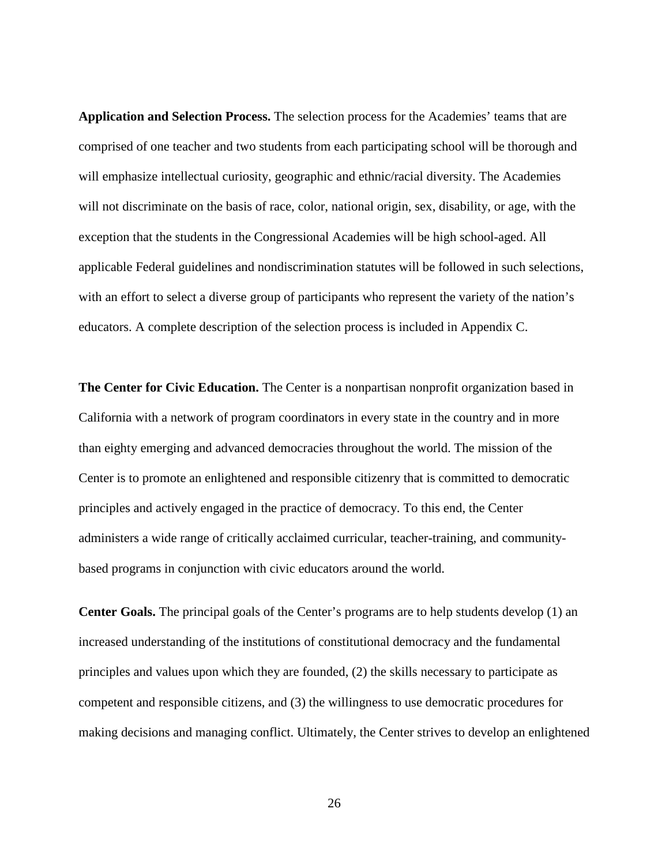**Application and Selection Process.** The selection process for the Academies' teams that are comprised of one teacher and two students from each participating school will be thorough and will emphasize intellectual curiosity, geographic and ethnic/racial diversity. The Academies will not discriminate on the basis of race, color, national origin, sex, disability, or age, with the exception that the students in the Congressional Academies will be high school-aged. All applicable Federal guidelines and nondiscrimination statutes will be followed in such selections, with an effort to select a diverse group of participants who represent the variety of the nation's educators. A complete description of the selection process is included in Appendix C.

**The Center for Civic Education.** The Center is a nonpartisan nonprofit organization based in California with a network of program coordinators in every state in the country and in more than eighty emerging and advanced democracies throughout the world. The mission of the Center is to promote an enlightened and responsible citizenry that is committed to democratic principles and actively engaged in the practice of democracy. To this end, the Center administers a wide range of critically acclaimed curricular, teacher-training, and communitybased programs in conjunction with civic educators around the world.

**Center Goals.** The principal goals of the Center's programs are to help students develop (1) an increased understanding of the institutions of constitutional democracy and the fundamental principles and values upon which they are founded, (2) the skills necessary to participate as competent and responsible citizens, and (3) the willingness to use democratic procedures for making decisions and managing conflict. Ultimately, the Center strives to develop an enlightened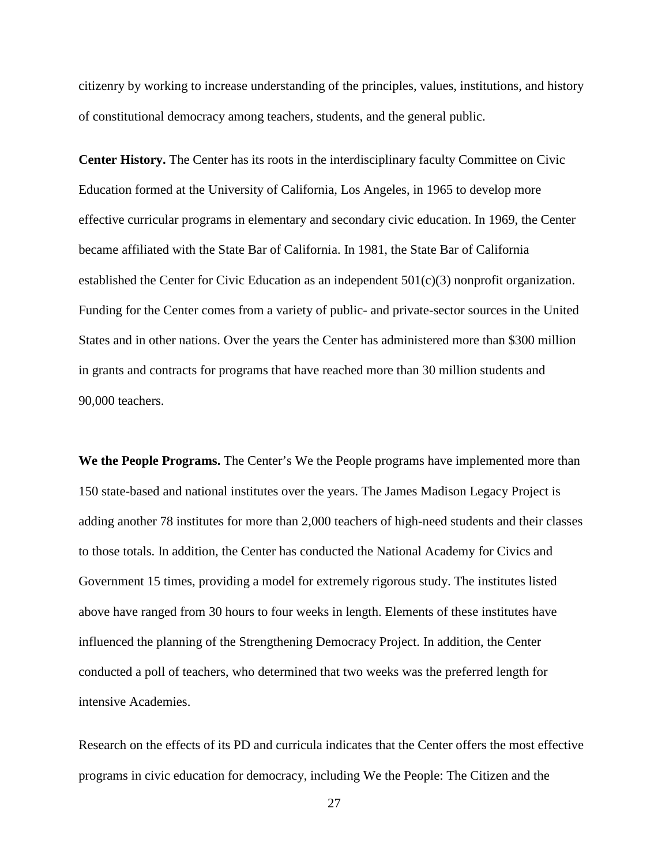citizenry by working to increase understanding of the principles, values, institutions, and history of constitutional democracy among teachers, students, and the general public.

**Center History.** The Center has its roots in the interdisciplinary faculty Committee on Civic Education formed at the University of California, Los Angeles, in 1965 to develop more effective curricular programs in elementary and secondary civic education. In 1969, the Center became affiliated with the State Bar of California. In 1981, the State Bar of California established the Center for Civic Education as an independent  $501(c)(3)$  nonprofit organization. Funding for the Center comes from a variety of public- and private-sector sources in the United States and in other nations. Over the years the Center has administered more than \$300 million in grants and contracts for programs that have reached more than 30 million students and 90,000 teachers.

**We the People Programs.** The Center's We the People programs have implemented more than 150 state-based and national institutes over the years. The James Madison Legacy Project is adding another 78 institutes for more than 2,000 teachers of high-need students and their classes to those totals. In addition, the Center has conducted the National Academy for Civics and Government 15 times, providing a model for extremely rigorous study. The institutes listed above have ranged from 30 hours to four weeks in length. Elements of these institutes have influenced the planning of the Strengthening Democracy Project. In addition, the Center conducted a poll of teachers, who determined that two weeks was the preferred length for intensive Academies.

Research on the effects of its PD and curricula indicates that the Center offers the most effective programs in civic education for democracy, including We the People: The Citizen and the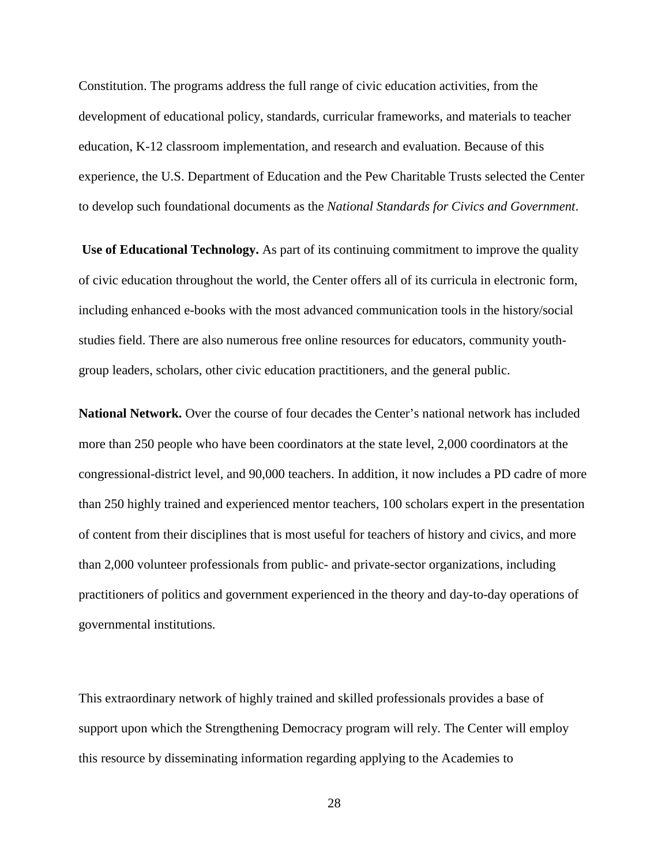Constitution. The programs address the full range of civic education activities, from the development of educational policy, standards, curricular frameworks, and materials to teacher education, K-12 classroom implementation, and research and evaluation. Because of this experience, the U.S. Department of Education and the Pew Charitable Trusts selected the Center to develop such foundational documents as the *National Standards for Civics and Government*.

**Use of Educational Technology.** As part of its continuing commitment to improve the quality of civic education throughout the world, the Center offers all of its curricula in electronic form, including enhanced e-books with the most advanced communication tools in the history/social studies field. There are also numerous free online resources for educators, community youthgroup leaders, scholars, other civic education practitioners, and the general public.

**National Network.** Over the course of four decades the Center's national network has included more than 250 people who have been coordinators at the state level, 2,000 coordinators at the congressional-district level, and 90,000 teachers. In addition, it now includes a PD cadre of more than 250 highly trained and experienced mentor teachers, 100 scholars expert in the presentation of content from their disciplines that is most useful for teachers of history and civics, and more than 2,000 volunteer professionals from public- and private-sector organizations, including practitioners of politics and government experienced in the theory and day-to-day operations of governmental institutions.

This extraordinary network of highly trained and skilled professionals provides a base of support upon which the Strengthening Democracy program will rely. The Center will employ this resource by disseminating information regarding applying to the Academies to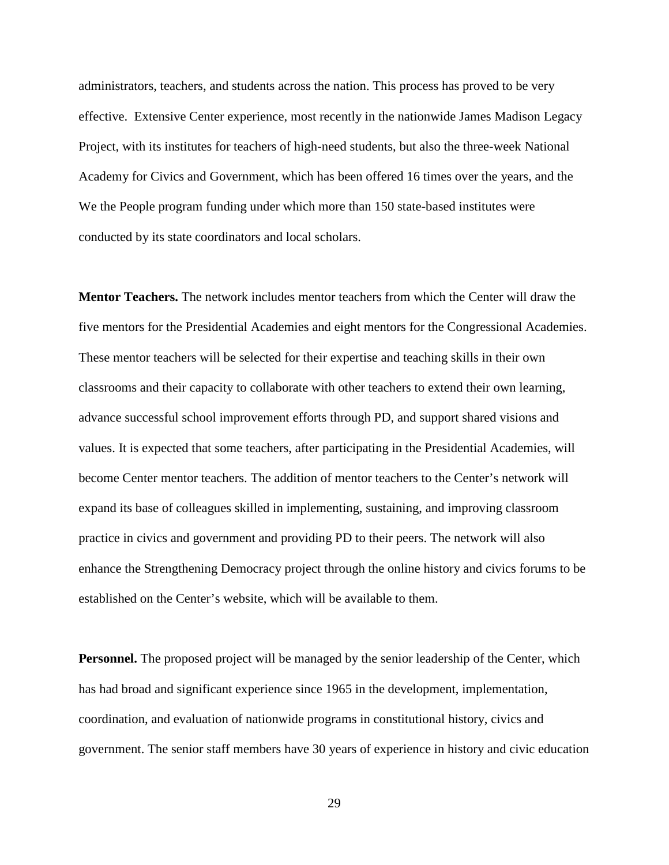administrators, teachers, and students across the nation. This process has proved to be very effective. Extensive Center experience, most recently in the nationwide James Madison Legacy Project, with its institutes for teachers of high-need students, but also the three-week National Academy for Civics and Government, which has been offered 16 times over the years, and the We the People program funding under which more than 150 state-based institutes were conducted by its state coordinators and local scholars.

**Mentor Teachers.** The network includes mentor teachers from which the Center will draw the five mentors for the Presidential Academies and eight mentors for the Congressional Academies. These mentor teachers will be selected for their expertise and teaching skills in their own classrooms and their capacity to collaborate with other teachers to extend their own learning, advance successful school improvement efforts through PD, and support shared visions and values. It is expected that some teachers, after participating in the Presidential Academies, will become Center mentor teachers. The addition of mentor teachers to the Center's network will expand its base of colleagues skilled in implementing, sustaining, and improving classroom practice in civics and government and providing PD to their peers. The network will also enhance the Strengthening Democracy project through the online history and civics forums to be established on the Center's website, which will be available to them.

**Personnel.** The proposed project will be managed by the senior leadership of the Center, which has had broad and significant experience since 1965 in the development, implementation, coordination, and evaluation of nationwide programs in constitutional history, civics and government. The senior staff members have 30 years of experience in history and civic education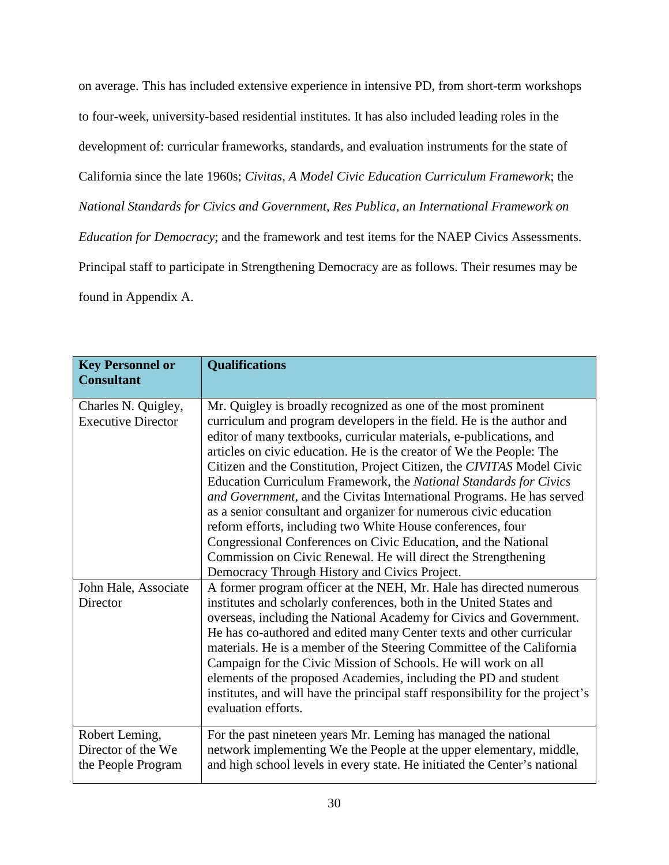on average. This has included extensive experience in intensive PD, from short-term workshops to four-week, university-based residential institutes. It has also included leading roles in the development of: curricular frameworks, standards, and evaluation instruments for the state of California since the late 1960s; *Civitas, A Model Civic Education Curriculum Framework*; the *National Standards for Civics and Government*, *Res Publica, an International Framework on Education for Democracy*; and the framework and test items for the NAEP Civics Assessments. Principal staff to participate in Strengthening Democracy are as follows. Their resumes may be found in Appendix A.

| <b>Key Personnel or</b><br><b>Consultant</b>               | <b>Qualifications</b>                                                                                                                                                                                                                                                                                                                                                                                                                                                                                                                                                                                                                                                                                                                                                                                                                 |
|------------------------------------------------------------|---------------------------------------------------------------------------------------------------------------------------------------------------------------------------------------------------------------------------------------------------------------------------------------------------------------------------------------------------------------------------------------------------------------------------------------------------------------------------------------------------------------------------------------------------------------------------------------------------------------------------------------------------------------------------------------------------------------------------------------------------------------------------------------------------------------------------------------|
| Charles N. Quigley,<br><b>Executive Director</b>           | Mr. Quigley is broadly recognized as one of the most prominent<br>curriculum and program developers in the field. He is the author and<br>editor of many textbooks, curricular materials, e-publications, and<br>articles on civic education. He is the creator of We the People: The<br>Citizen and the Constitution, Project Citizen, the CIVITAS Model Civic<br>Education Curriculum Framework, the National Standards for Civics<br>and Government, and the Civitas International Programs. He has served<br>as a senior consultant and organizer for numerous civic education<br>reform efforts, including two White House conferences, four<br>Congressional Conferences on Civic Education, and the National<br>Commission on Civic Renewal. He will direct the Strengthening<br>Democracy Through History and Civics Project. |
| John Hale, Associate<br>Director                           | A former program officer at the NEH, Mr. Hale has directed numerous<br>institutes and scholarly conferences, both in the United States and<br>overseas, including the National Academy for Civics and Government.<br>He has co-authored and edited many Center texts and other curricular<br>materials. He is a member of the Steering Committee of the California<br>Campaign for the Civic Mission of Schools. He will work on all<br>elements of the proposed Academies, including the PD and student<br>institutes, and will have the principal staff responsibility for the project's<br>evaluation efforts.                                                                                                                                                                                                                     |
| Robert Leming,<br>Director of the We<br>the People Program | For the past nineteen years Mr. Leming has managed the national<br>network implementing We the People at the upper elementary, middle,<br>and high school levels in every state. He initiated the Center's national                                                                                                                                                                                                                                                                                                                                                                                                                                                                                                                                                                                                                   |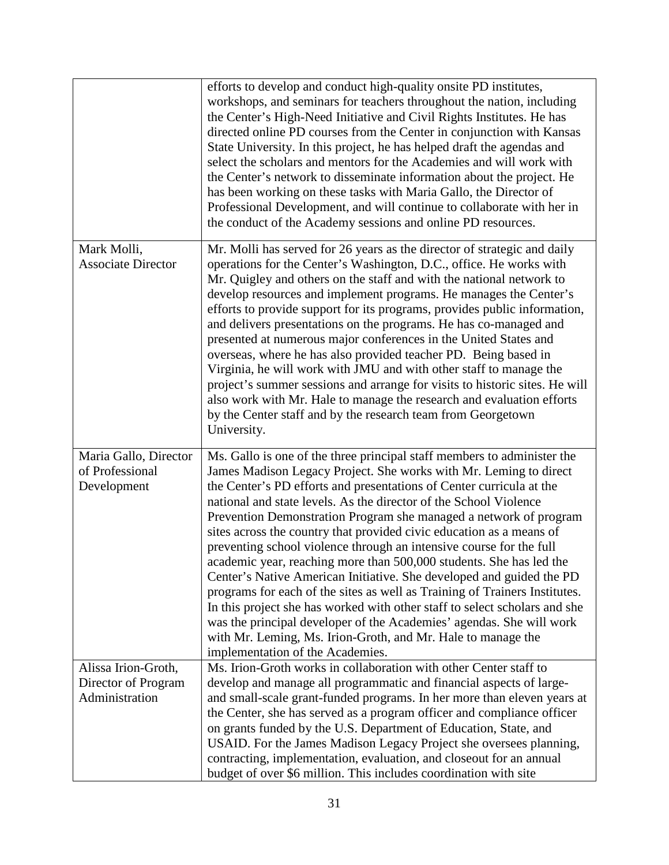|                                                              | efforts to develop and conduct high-quality onsite PD institutes,<br>workshops, and seminars for teachers throughout the nation, including<br>the Center's High-Need Initiative and Civil Rights Institutes. He has<br>directed online PD courses from the Center in conjunction with Kansas<br>State University. In this project, he has helped draft the agendas and<br>select the scholars and mentors for the Academies and will work with<br>the Center's network to disseminate information about the project. He<br>has been working on these tasks with Maria Gallo, the Director of<br>Professional Development, and will continue to collaborate with her in<br>the conduct of the Academy sessions and online PD resources.                                                                                                                                                                                                                                                               |
|--------------------------------------------------------------|------------------------------------------------------------------------------------------------------------------------------------------------------------------------------------------------------------------------------------------------------------------------------------------------------------------------------------------------------------------------------------------------------------------------------------------------------------------------------------------------------------------------------------------------------------------------------------------------------------------------------------------------------------------------------------------------------------------------------------------------------------------------------------------------------------------------------------------------------------------------------------------------------------------------------------------------------------------------------------------------------|
| Mark Molli,<br><b>Associate Director</b>                     | Mr. Molli has served for 26 years as the director of strategic and daily<br>operations for the Center's Washington, D.C., office. He works with<br>Mr. Quigley and others on the staff and with the national network to<br>develop resources and implement programs. He manages the Center's<br>efforts to provide support for its programs, provides public information,<br>and delivers presentations on the programs. He has co-managed and<br>presented at numerous major conferences in the United States and<br>overseas, where he has also provided teacher PD. Being based in<br>Virginia, he will work with JMU and with other staff to manage the<br>project's summer sessions and arrange for visits to historic sites. He will<br>also work with Mr. Hale to manage the research and evaluation efforts<br>by the Center staff and by the research team from Georgetown<br>University.                                                                                                   |
| Maria Gallo, Director<br>of Professional<br>Development      | Ms. Gallo is one of the three principal staff members to administer the<br>James Madison Legacy Project. She works with Mr. Leming to direct<br>the Center's PD efforts and presentations of Center curricula at the<br>national and state levels. As the director of the School Violence<br>Prevention Demonstration Program she managed a network of program<br>sites across the country that provided civic education as a means of<br>preventing school violence through an intensive course for the full<br>academic year, reaching more than 500,000 students. She has led the<br>Center's Native American Initiative. She developed and guided the PD<br>programs for each of the sites as well as Training of Trainers Institutes.<br>In this project she has worked with other staff to select scholars and she<br>was the principal developer of the Academies' agendas. She will work<br>with Mr. Leming, Ms. Irion-Groth, and Mr. Hale to manage the<br>implementation of the Academies. |
| Alissa Irion-Groth,<br>Director of Program<br>Administration | Ms. Irion-Groth works in collaboration with other Center staff to<br>develop and manage all programmatic and financial aspects of large-<br>and small-scale grant-funded programs. In her more than eleven years at<br>the Center, she has served as a program officer and compliance officer<br>on grants funded by the U.S. Department of Education, State, and<br>USAID. For the James Madison Legacy Project she oversees planning,<br>contracting, implementation, evaluation, and closeout for an annual<br>budget of over \$6 million. This includes coordination with site                                                                                                                                                                                                                                                                                                                                                                                                                   |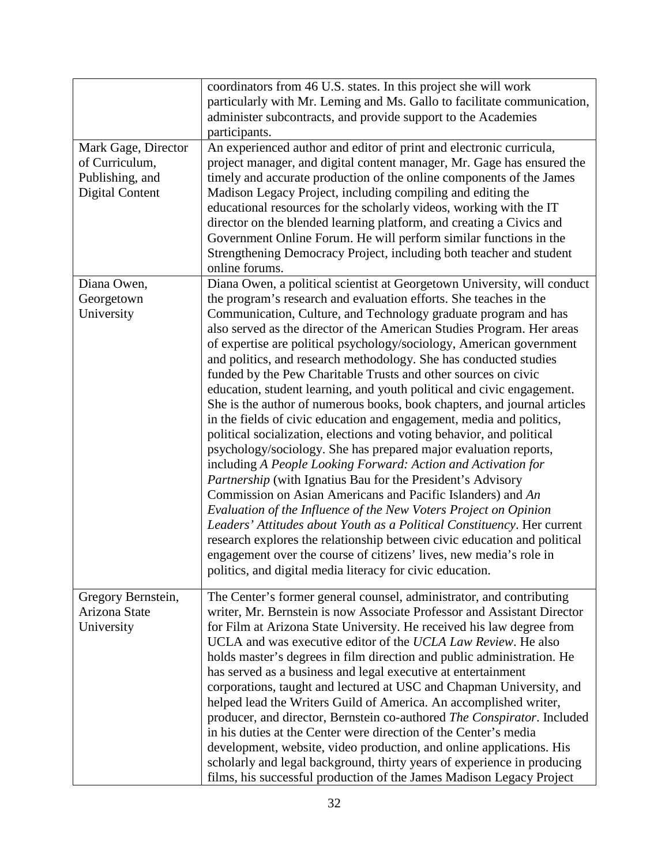|                                                                                    | coordinators from 46 U.S. states. In this project she will work<br>particularly with Mr. Leming and Ms. Gallo to facilitate communication,<br>administer subcontracts, and provide support to the Academies<br>participants.                                                                                                                                                                                                                                                                                                                                                                                                                                                                                                                                                                                                                                                                                                                                                                                                                                                                                                                                                                                                                                                                                                                                                                                                                      |
|------------------------------------------------------------------------------------|---------------------------------------------------------------------------------------------------------------------------------------------------------------------------------------------------------------------------------------------------------------------------------------------------------------------------------------------------------------------------------------------------------------------------------------------------------------------------------------------------------------------------------------------------------------------------------------------------------------------------------------------------------------------------------------------------------------------------------------------------------------------------------------------------------------------------------------------------------------------------------------------------------------------------------------------------------------------------------------------------------------------------------------------------------------------------------------------------------------------------------------------------------------------------------------------------------------------------------------------------------------------------------------------------------------------------------------------------------------------------------------------------------------------------------------------------|
| Mark Gage, Director<br>of Curriculum,<br>Publishing, and<br><b>Digital Content</b> | An experienced author and editor of print and electronic curricula,<br>project manager, and digital content manager, Mr. Gage has ensured the<br>timely and accurate production of the online components of the James<br>Madison Legacy Project, including compiling and editing the<br>educational resources for the scholarly videos, working with the IT<br>director on the blended learning platform, and creating a Civics and<br>Government Online Forum. He will perform similar functions in the<br>Strengthening Democracy Project, including both teacher and student<br>online forums.                                                                                                                                                                                                                                                                                                                                                                                                                                                                                                                                                                                                                                                                                                                                                                                                                                                 |
| Diana Owen,<br>Georgetown<br>University                                            | Diana Owen, a political scientist at Georgetown University, will conduct<br>the program's research and evaluation efforts. She teaches in the<br>Communication, Culture, and Technology graduate program and has<br>also served as the director of the American Studies Program. Her areas<br>of expertise are political psychology/sociology, American government<br>and politics, and research methodology. She has conducted studies<br>funded by the Pew Charitable Trusts and other sources on civic<br>education, student learning, and youth political and civic engagement.<br>She is the author of numerous books, book chapters, and journal articles<br>in the fields of civic education and engagement, media and politics,<br>political socialization, elections and voting behavior, and political<br>psychology/sociology. She has prepared major evaluation reports,<br>including A People Looking Forward: Action and Activation for<br>Partnership (with Ignatius Bau for the President's Advisory<br>Commission on Asian Americans and Pacific Islanders) and An<br>Evaluation of the Influence of the New Voters Project on Opinion<br>Leaders' Attitudes about Youth as a Political Constituency. Her current<br>research explores the relationship between civic education and political<br>engagement over the course of citizens' lives, new media's role in<br>politics, and digital media literacy for civic education. |
| Gregory Bernstein,<br>Arizona State<br>University                                  | The Center's former general counsel, administrator, and contributing<br>writer, Mr. Bernstein is now Associate Professor and Assistant Director<br>for Film at Arizona State University. He received his law degree from<br>UCLA and was executive editor of the UCLA Law Review. He also<br>holds master's degrees in film direction and public administration. He<br>has served as a business and legal executive at entertainment<br>corporations, taught and lectured at USC and Chapman University, and<br>helped lead the Writers Guild of America. An accomplished writer,<br>producer, and director, Bernstein co-authored The Conspirator. Included<br>in his duties at the Center were direction of the Center's media<br>development, website, video production, and online applications. His<br>scholarly and legal background, thirty years of experience in producing<br>films, his successful production of the James Madison Legacy Project                                                                                                                                                                                                                                                                                                                                                                                                                                                                                       |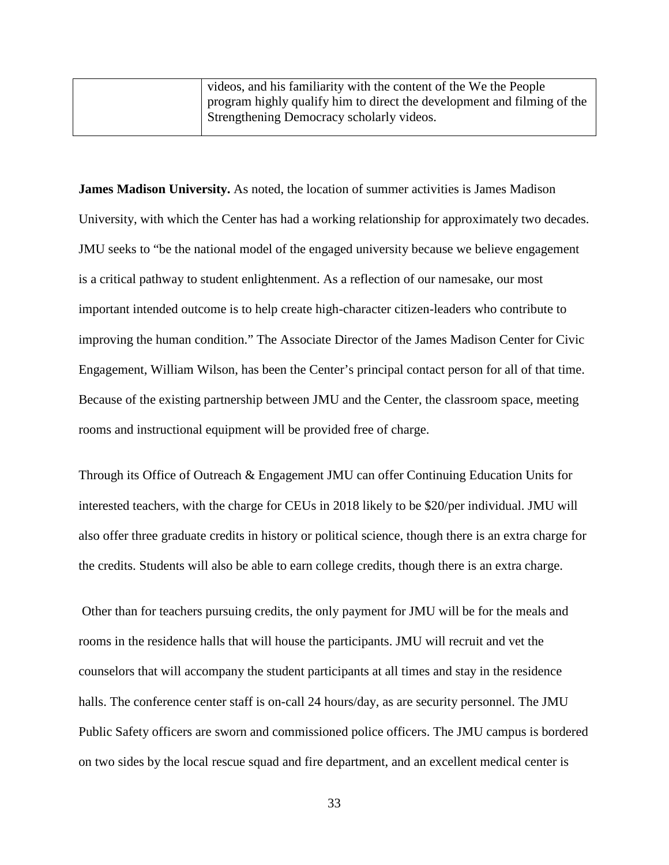| videos, and his familiarity with the content of the We the People       |
|-------------------------------------------------------------------------|
| program highly qualify him to direct the development and filming of the |
| Strengthening Democracy scholarly videos.                               |
|                                                                         |

**James Madison University.** As noted, the location of summer activities is James Madison University, with which the Center has had a working relationship for approximately two decades. JMU seeks to "be the national model of the engaged university because we believe engagement is a critical pathway to student enlightenment. As a reflection of our namesake, our most important intended outcome is to help create high-character citizen-leaders who contribute to improving the human condition." The Associate Director of the James Madison Center for Civic Engagement, William Wilson, has been the Center's principal contact person for all of that time. Because of the existing partnership between JMU and the Center, the classroom space, meeting rooms and instructional equipment will be provided free of charge.

Through its Office of Outreach & Engagement JMU can offer Continuing Education Units for interested teachers, with the charge for CEUs in 2018 likely to be \$20/per individual. JMU will also offer three graduate credits in history or political science, though there is an extra charge for the credits. Students will also be able to earn college credits, though there is an extra charge.

Other than for teachers pursuing credits, the only payment for JMU will be for the meals and rooms in the residence halls that will house the participants. JMU will recruit and vet the counselors that will accompany the student participants at all times and stay in the residence halls. The conference center staff is on-call 24 hours/day, as are security personnel. The JMU Public Safety officers are sworn and commissioned police officers. The JMU campus is bordered on two sides by the local rescue squad and fire department, and an excellent medical center is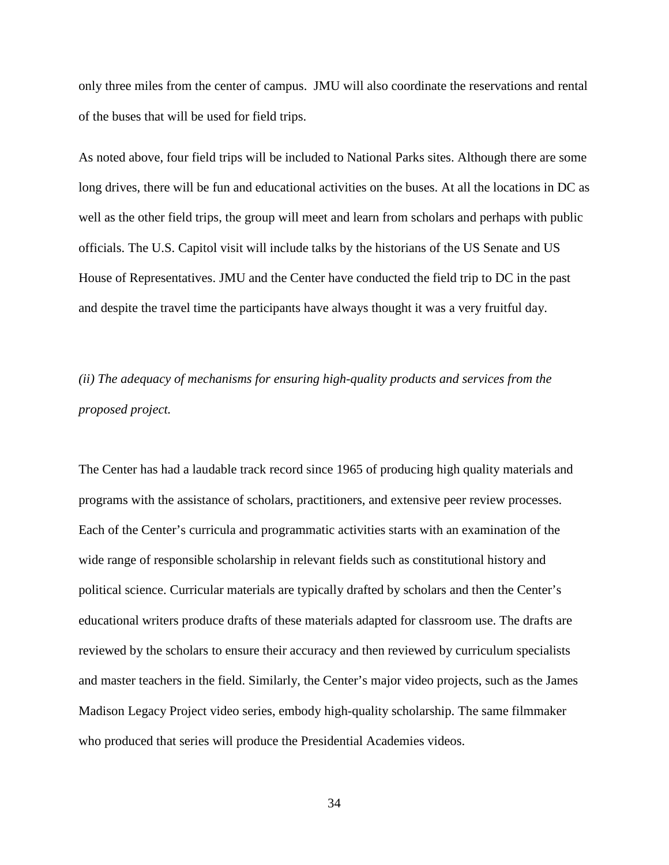only three miles from the center of campus. JMU will also coordinate the reservations and rental of the buses that will be used for field trips.

As noted above, four field trips will be included to National Parks sites. Although there are some long drives, there will be fun and educational activities on the buses. At all the locations in DC as well as the other field trips, the group will meet and learn from scholars and perhaps with public officials. The U.S. Capitol visit will include talks by the historians of the US Senate and US House of Representatives. JMU and the Center have conducted the field trip to DC in the past and despite the travel time the participants have always thought it was a very fruitful day.

*(ii) The adequacy of mechanisms for ensuring high-quality products and services from the proposed project.*

The Center has had a laudable track record since 1965 of producing high quality materials and programs with the assistance of scholars, practitioners, and extensive peer review processes. Each of the Center's curricula and programmatic activities starts with an examination of the wide range of responsible scholarship in relevant fields such as constitutional history and political science. Curricular materials are typically drafted by scholars and then the Center's educational writers produce drafts of these materials adapted for classroom use. The drafts are reviewed by the scholars to ensure their accuracy and then reviewed by curriculum specialists and master teachers in the field. Similarly, the Center's major video projects, such as the James Madison Legacy Project video series, embody high-quality scholarship. The same filmmaker who produced that series will produce the Presidential Academies videos.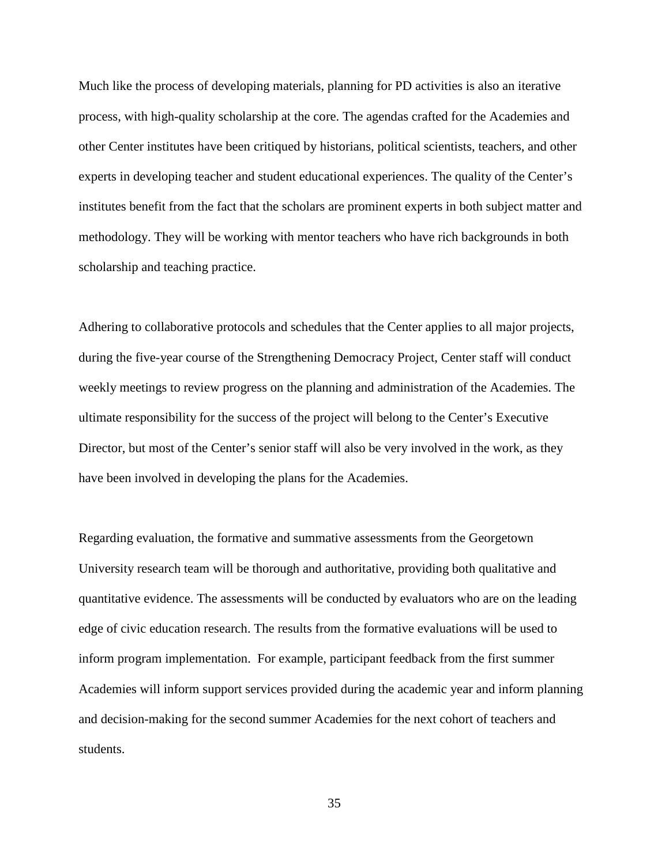Much like the process of developing materials, planning for PD activities is also an iterative process, with high-quality scholarship at the core. The agendas crafted for the Academies and other Center institutes have been critiqued by historians, political scientists, teachers, and other experts in developing teacher and student educational experiences. The quality of the Center's institutes benefit from the fact that the scholars are prominent experts in both subject matter and methodology. They will be working with mentor teachers who have rich backgrounds in both scholarship and teaching practice.

Adhering to collaborative protocols and schedules that the Center applies to all major projects, during the five-year course of the Strengthening Democracy Project, Center staff will conduct weekly meetings to review progress on the planning and administration of the Academies. The ultimate responsibility for the success of the project will belong to the Center's Executive Director, but most of the Center's senior staff will also be very involved in the work, as they have been involved in developing the plans for the Academies.

Regarding evaluation, the formative and summative assessments from the Georgetown University research team will be thorough and authoritative, providing both qualitative and quantitative evidence. The assessments will be conducted by evaluators who are on the leading edge of civic education research. The results from the formative evaluations will be used to inform program implementation. For example, participant feedback from the first summer Academies will inform support services provided during the academic year and inform planning and decision-making for the second summer Academies for the next cohort of teachers and students.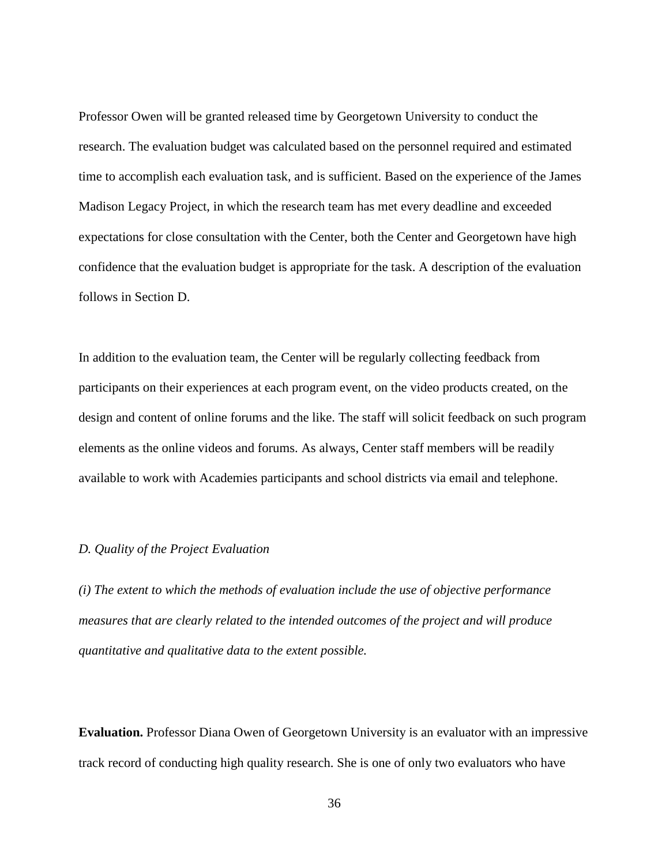Professor Owen will be granted released time by Georgetown University to conduct the research. The evaluation budget was calculated based on the personnel required and estimated time to accomplish each evaluation task, and is sufficient. Based on the experience of the James Madison Legacy Project, in which the research team has met every deadline and exceeded expectations for close consultation with the Center, both the Center and Georgetown have high confidence that the evaluation budget is appropriate for the task. A description of the evaluation follows in Section D.

In addition to the evaluation team, the Center will be regularly collecting feedback from participants on their experiences at each program event, on the video products created, on the design and content of online forums and the like. The staff will solicit feedback on such program elements as the online videos and forums. As always, Center staff members will be readily available to work with Academies participants and school districts via email and telephone.

### *D. Quality of the Project Evaluation*

*(i) The extent to which the methods of evaluation include the use of objective performance measures that are clearly related to the intended outcomes of the project and will produce quantitative and qualitative data to the extent possible.*

**Evaluation.** Professor Diana Owen of Georgetown University is an evaluator with an impressive track record of conducting high quality research. She is one of only two evaluators who have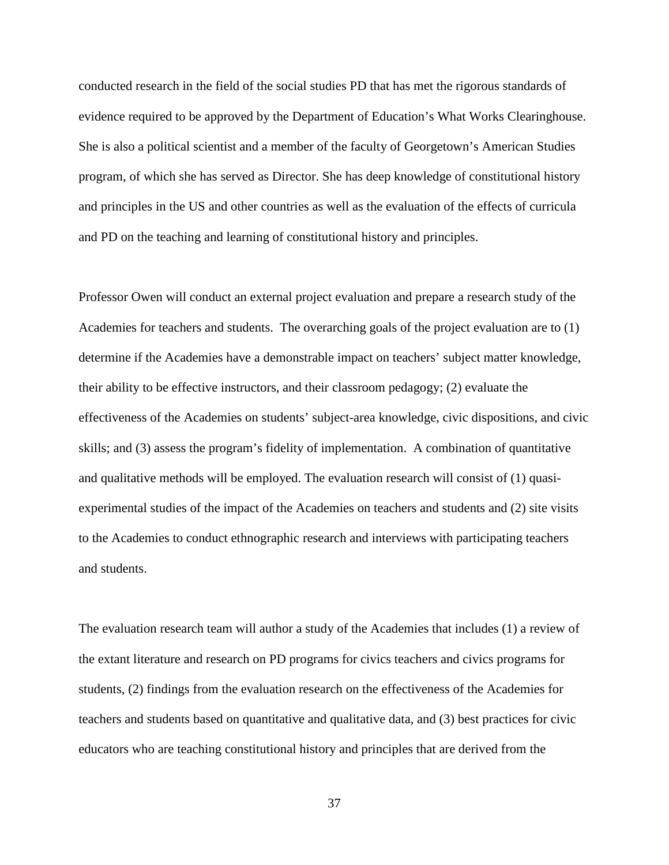conducted research in the field of the social studies PD that has met the rigorous standards of evidence required to be approved by the Department of Education's What Works Clearinghouse. She is also a political scientist and a member of the faculty of Georgetown's American Studies program, of which she has served as Director. She has deep knowledge of constitutional history and principles in the US and other countries as well as the evaluation of the effects of curricula and PD on the teaching and learning of constitutional history and principles.

Professor Owen will conduct an external project evaluation and prepare a research study of the Academies for teachers and students. The overarching goals of the project evaluation are to (1) determine if the Academies have a demonstrable impact on teachers' subject matter knowledge, their ability to be effective instructors, and their classroom pedagogy; (2) evaluate the effectiveness of the Academies on students' subject-area knowledge, civic dispositions, and civic skills; and (3) assess the program's fidelity of implementation. A combination of quantitative and qualitative methods will be employed. The evaluation research will consist of (1) quasiexperimental studies of the impact of the Academies on teachers and students and (2) site visits to the Academies to conduct ethnographic research and interviews with participating teachers and students.

The evaluation research team will author a study of the Academies that includes (1) a review of the extant literature and research on PD programs for civics teachers and civics programs for students, (2) findings from the evaluation research on the effectiveness of the Academies for teachers and students based on quantitative and qualitative data, and (3) best practices for civic educators who are teaching constitutional history and principles that are derived from the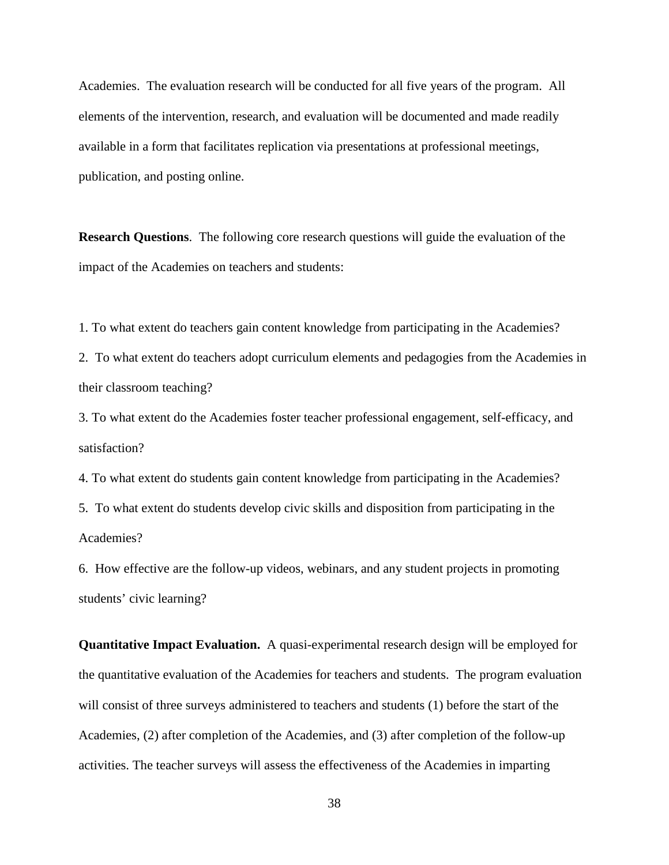Academies. The evaluation research will be conducted for all five years of the program. All elements of the intervention, research, and evaluation will be documented and made readily available in a form that facilitates replication via presentations at professional meetings, publication, and posting online.

**Research Questions**. The following core research questions will guide the evaluation of the impact of the Academies on teachers and students:

1. To what extent do teachers gain content knowledge from participating in the Academies?

2. To what extent do teachers adopt curriculum elements and pedagogies from the Academies in their classroom teaching?

3. To what extent do the Academies foster teacher professional engagement, self-efficacy, and satisfaction?

4. To what extent do students gain content knowledge from participating in the Academies? 5. To what extent do students develop civic skills and disposition from participating in the Academies?

6. How effective are the follow-up videos, webinars, and any student projects in promoting students' civic learning?

**Quantitative Impact Evaluation.** A quasi-experimental research design will be employed for the quantitative evaluation of the Academies for teachers and students. The program evaluation will consist of three surveys administered to teachers and students (1) before the start of the Academies, (2) after completion of the Academies, and (3) after completion of the follow-up activities. The teacher surveys will assess the effectiveness of the Academies in imparting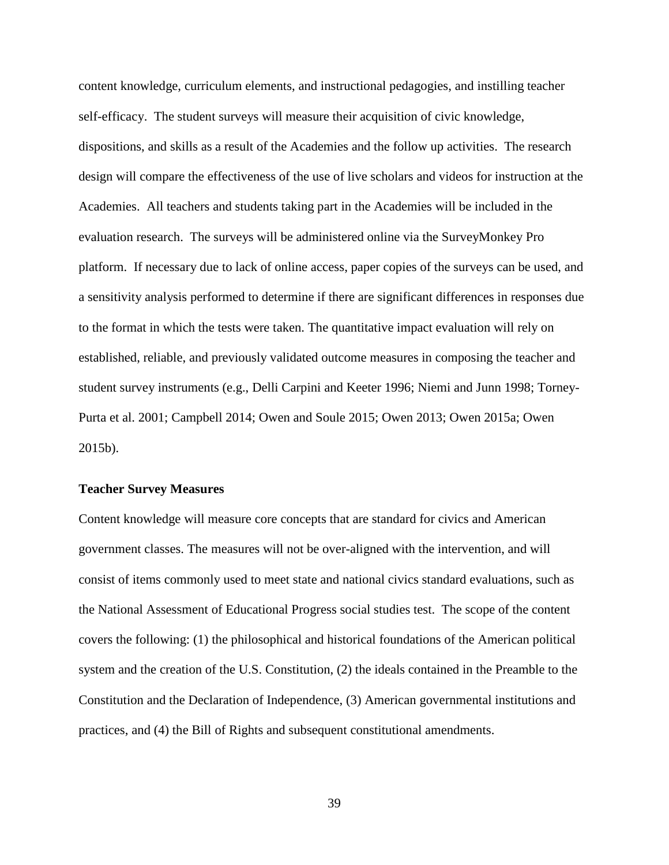content knowledge, curriculum elements, and instructional pedagogies, and instilling teacher self-efficacy. The student surveys will measure their acquisition of civic knowledge, dispositions, and skills as a result of the Academies and the follow up activities. The research design will compare the effectiveness of the use of live scholars and videos for instruction at the Academies. All teachers and students taking part in the Academies will be included in the evaluation research. The surveys will be administered online via the SurveyMonkey Pro platform. If necessary due to lack of online access, paper copies of the surveys can be used, and a sensitivity analysis performed to determine if there are significant differences in responses due to the format in which the tests were taken. The quantitative impact evaluation will rely on established, reliable, and previously validated outcome measures in composing the teacher and student survey instruments (e.g., Delli Carpini and Keeter 1996; Niemi and Junn 1998; Torney-Purta et al. 2001; Campbell 2014; Owen and Soule 2015; Owen 2013; Owen 2015a; Owen 2015b).

### **Teacher Survey Measures**

Content knowledge will measure core concepts that are standard for civics and American government classes. The measures will not be over-aligned with the intervention, and will consist of items commonly used to meet state and national civics standard evaluations, such as the National Assessment of Educational Progress social studies test. The scope of the content covers the following: (1) the philosophical and historical foundations of the American political system and the creation of the U.S. Constitution, (2) the ideals contained in the Preamble to the Constitution and the Declaration of Independence, (3) American governmental institutions and practices, and (4) the Bill of Rights and subsequent constitutional amendments.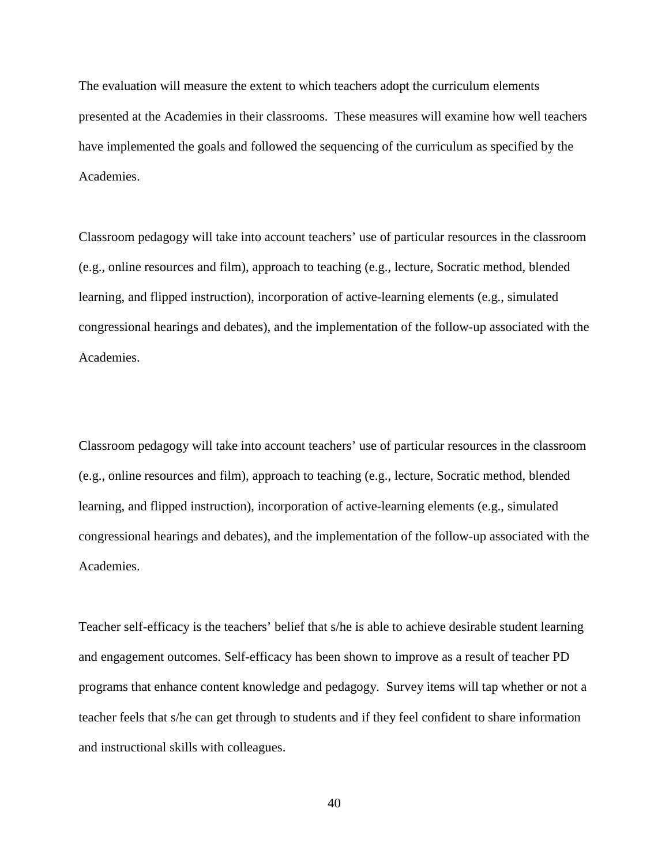The evaluation will measure the extent to which teachers adopt the curriculum elements presented at the Academies in their classrooms. These measures will examine how well teachers have implemented the goals and followed the sequencing of the curriculum as specified by the Academies.

Classroom pedagogy will take into account teachers' use of particular resources in the classroom (e.g., online resources and film), approach to teaching (e.g., lecture, Socratic method, blended learning, and flipped instruction), incorporation of active-learning elements (e.g., simulated congressional hearings and debates), and the implementation of the follow-up associated with the Academies.

Classroom pedagogy will take into account teachers' use of particular resources in the classroom (e.g., online resources and film), approach to teaching (e.g., lecture, Socratic method, blended learning, and flipped instruction), incorporation of active-learning elements (e.g., simulated congressional hearings and debates), and the implementation of the follow-up associated with the Academies.

Teacher self-efficacy is the teachers' belief that s/he is able to achieve desirable student learning and engagement outcomes. Self-efficacy has been shown to improve as a result of teacher PD programs that enhance content knowledge and pedagogy. Survey items will tap whether or not a teacher feels that s/he can get through to students and if they feel confident to share information and instructional skills with colleagues.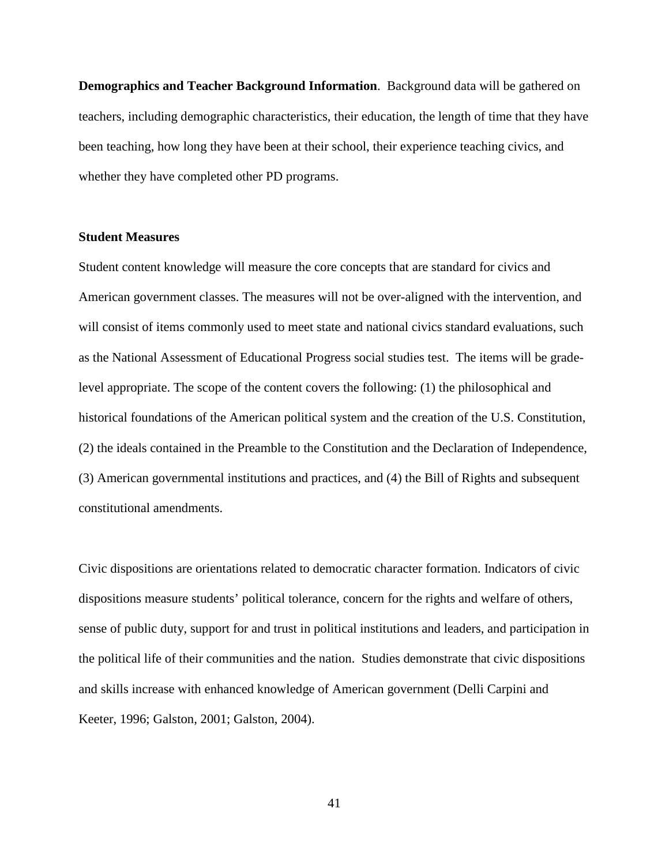**Demographics and Teacher Background Information**. Background data will be gathered on teachers, including demographic characteristics, their education, the length of time that they have been teaching, how long they have been at their school, their experience teaching civics, and whether they have completed other PD programs.

### **Student Measures**

Student content knowledge will measure the core concepts that are standard for civics and American government classes. The measures will not be over-aligned with the intervention, and will consist of items commonly used to meet state and national civics standard evaluations, such as the National Assessment of Educational Progress social studies test. The items will be gradelevel appropriate. The scope of the content covers the following: (1) the philosophical and historical foundations of the American political system and the creation of the U.S. Constitution, (2) the ideals contained in the Preamble to the Constitution and the Declaration of Independence, (3) American governmental institutions and practices, and (4) the Bill of Rights and subsequent constitutional amendments.

Civic dispositions are orientations related to democratic character formation. Indicators of civic dispositions measure students' political tolerance, concern for the rights and welfare of others, sense of public duty, support for and trust in political institutions and leaders, and participation in the political life of their communities and the nation. Studies demonstrate that civic dispositions and skills increase with enhanced knowledge of American government (Delli Carpini and Keeter, 1996; Galston, 2001; Galston, 2004).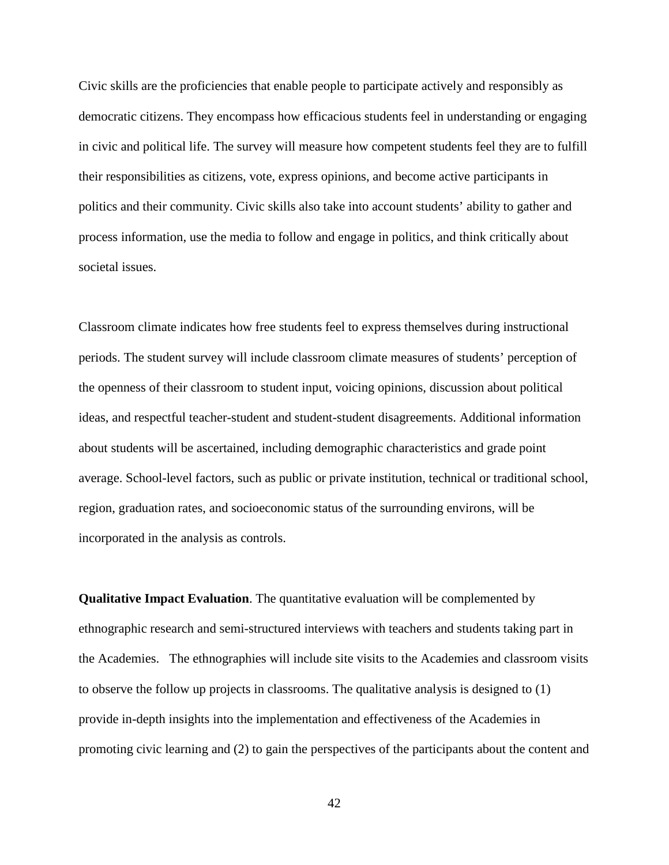Civic skills are the proficiencies that enable people to participate actively and responsibly as democratic citizens. They encompass how efficacious students feel in understanding or engaging in civic and political life. The survey will measure how competent students feel they are to fulfill their responsibilities as citizens, vote, express opinions, and become active participants in politics and their community. Civic skills also take into account students' ability to gather and process information, use the media to follow and engage in politics, and think critically about societal issues.

Classroom climate indicates how free students feel to express themselves during instructional periods. The student survey will include classroom climate measures of students' perception of the openness of their classroom to student input, voicing opinions, discussion about political ideas, and respectful teacher-student and student-student disagreements. Additional information about students will be ascertained, including demographic characteristics and grade point average. School-level factors, such as public or private institution, technical or traditional school, region, graduation rates, and socioeconomic status of the surrounding environs, will be incorporated in the analysis as controls.

**Qualitative Impact Evaluation**. The quantitative evaluation will be complemented by ethnographic research and semi-structured interviews with teachers and students taking part in the Academies. The ethnographies will include site visits to the Academies and classroom visits to observe the follow up projects in classrooms. The qualitative analysis is designed to (1) provide in-depth insights into the implementation and effectiveness of the Academies in promoting civic learning and (2) to gain the perspectives of the participants about the content and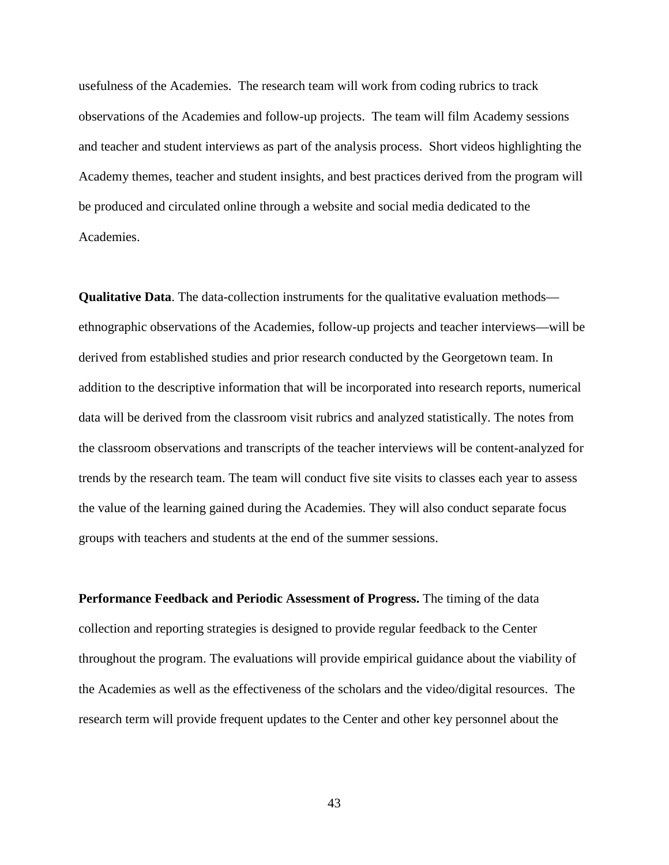usefulness of the Academies. The research team will work from coding rubrics to track observations of the Academies and follow-up projects. The team will film Academy sessions and teacher and student interviews as part of the analysis process. Short videos highlighting the Academy themes, teacher and student insights, and best practices derived from the program will be produced and circulated online through a website and social media dedicated to the Academies.

**Qualitative Data**. The data-collection instruments for the qualitative evaluation methods ethnographic observations of the Academies, follow-up projects and teacher interviews—will be derived from established studies and prior research conducted by the Georgetown team. In addition to the descriptive information that will be incorporated into research reports, numerical data will be derived from the classroom visit rubrics and analyzed statistically. The notes from the classroom observations and transcripts of the teacher interviews will be content-analyzed for trends by the research team. The team will conduct five site visits to classes each year to assess the value of the learning gained during the Academies. They will also conduct separate focus groups with teachers and students at the end of the summer sessions.

**Performance Feedback and Periodic Assessment of Progress.** The timing of the data collection and reporting strategies is designed to provide regular feedback to the Center throughout the program. The evaluations will provide empirical guidance about the viability of the Academies as well as the effectiveness of the scholars and the video/digital resources. The research term will provide frequent updates to the Center and other key personnel about the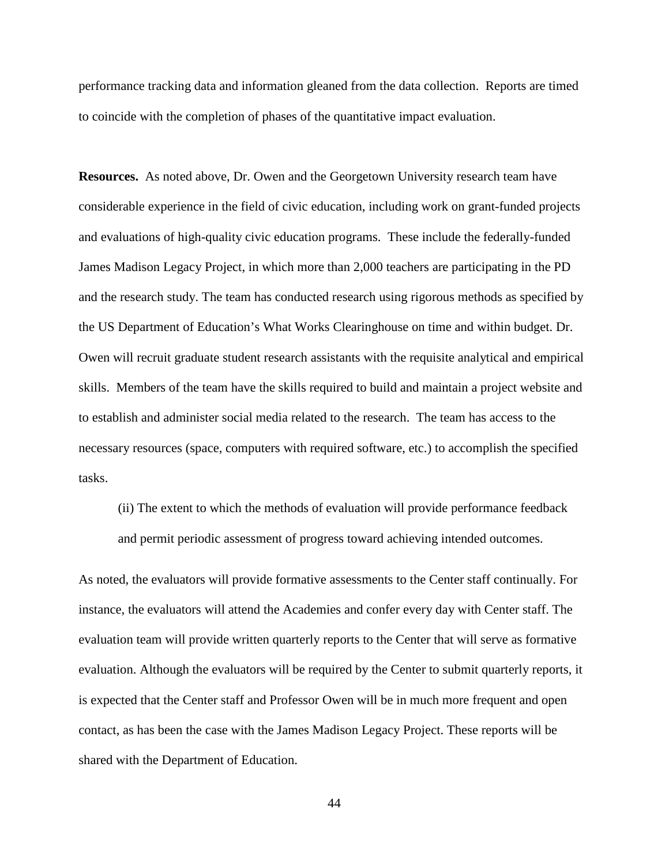performance tracking data and information gleaned from the data collection. Reports are timed to coincide with the completion of phases of the quantitative impact evaluation.

**Resources.** As noted above, Dr. Owen and the Georgetown University research team have considerable experience in the field of civic education, including work on grant-funded projects and evaluations of high-quality civic education programs. These include the federally-funded James Madison Legacy Project, in which more than 2,000 teachers are participating in the PD and the research study. The team has conducted research using rigorous methods as specified by the US Department of Education's What Works Clearinghouse on time and within budget. Dr. Owen will recruit graduate student research assistants with the requisite analytical and empirical skills. Members of the team have the skills required to build and maintain a project website and to establish and administer social media related to the research. The team has access to the necessary resources (space, computers with required software, etc.) to accomplish the specified tasks.

(ii) The extent to which the methods of evaluation will provide performance feedback and permit periodic assessment of progress toward achieving intended outcomes.

As noted, the evaluators will provide formative assessments to the Center staff continually. For instance, the evaluators will attend the Academies and confer every day with Center staff. The evaluation team will provide written quarterly reports to the Center that will serve as formative evaluation. Although the evaluators will be required by the Center to submit quarterly reports, it is expected that the Center staff and Professor Owen will be in much more frequent and open contact, as has been the case with the James Madison Legacy Project. These reports will be shared with the Department of Education.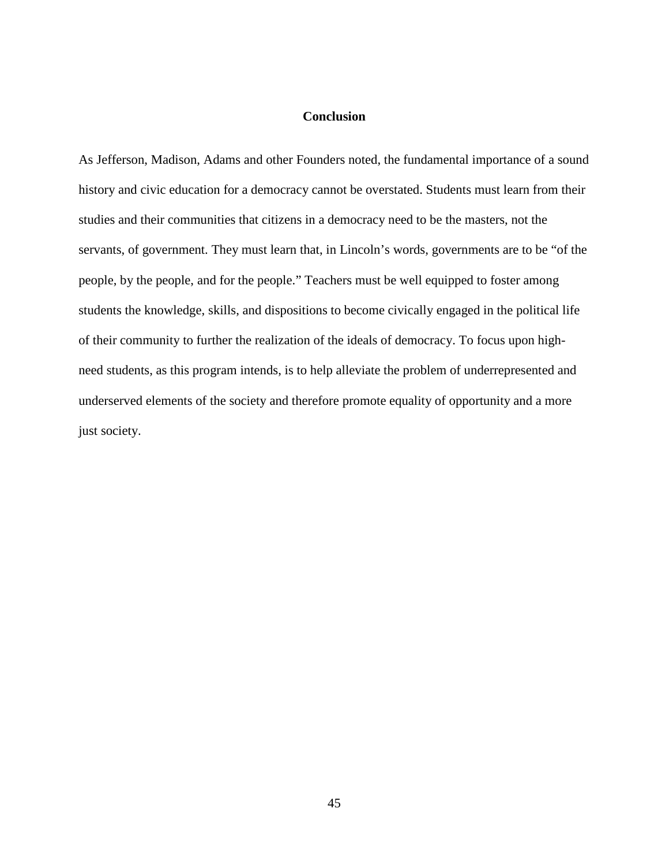### **Conclusion**

As Jefferson, Madison, Adams and other Founders noted, the fundamental importance of a sound history and civic education for a democracy cannot be overstated. Students must learn from their studies and their communities that citizens in a democracy need to be the masters, not the servants, of government. They must learn that, in Lincoln's words, governments are to be "of the people, by the people, and for the people." Teachers must be well equipped to foster among students the knowledge, skills, and dispositions to become civically engaged in the political life of their community to further the realization of the ideals of democracy. To focus upon highneed students, as this program intends, is to help alleviate the problem of underrepresented and underserved elements of the society and therefore promote equality of opportunity and a more just society.